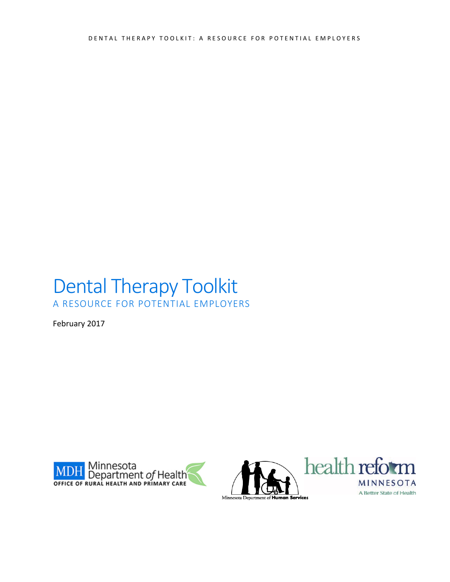DENTAL THERAPY TOOLKIT: A RESOURCE FOR POTENTIAL EMPLOYERS

## Dental Therapy Toolkit A RESOURCE FOR POTENTIAL EMPLOYERS

February 2017



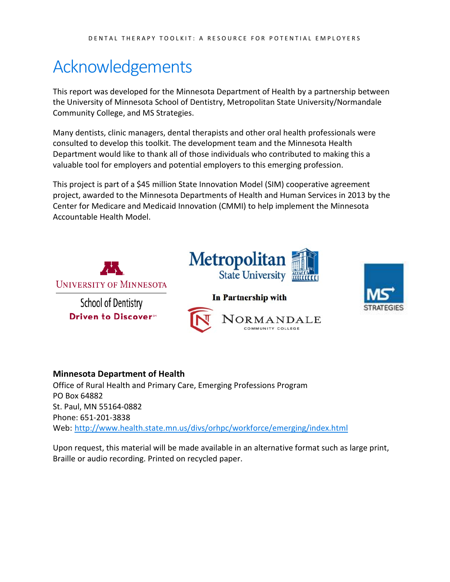## <span id="page-1-0"></span>Acknowledgements

This report was developed for the Minnesota Department of Health by a partnership between the University of Minnesota School of Dentistry, Metropolitan State University/Normandale Community College, and MS Strategies.

Many dentists, clinic managers, dental therapists and other oral health professionals were consulted to develop this toolkit. The development team and the Minnesota Health Department would like to thank all of those individuals who contributed to making this a valuable tool for employers and potential employers to this emerging profession.

This project is part of a \$45 million State Innovation Model (SIM) cooperative agreement project, awarded to the Minnesota Departments of Health and Human Services in 2013 by the Center for Medicare and Medicaid Innovation (CMMI) to help implement the Minnesota Accountable Health Model.





### **Minnesota Department of Health**

Office of Rural Health and Primary Care, Emerging Professions Program PO Box 64882 St. Paul, MN 55164-0882 Phone: 651-201-3838 Web: <http://www.health.state.mn.us/divs/orhpc/workforce/emerging/index.html>

Upon request, this material will be made available in an alternative format such as large print, Braille or audio recording. Printed on recycled paper.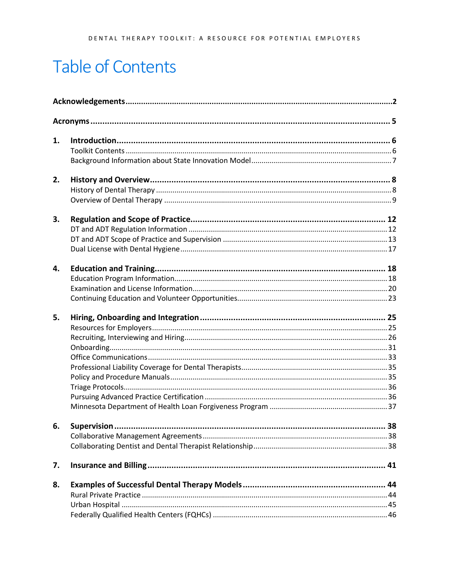## **Table of Contents**

| 1. |             |    |
|----|-------------|----|
|    |             |    |
|    |             |    |
| 2. |             |    |
|    |             |    |
|    |             |    |
| 3. |             |    |
|    |             |    |
|    |             |    |
|    |             |    |
| 4. |             |    |
|    |             |    |
|    |             |    |
|    |             |    |
| 5. |             |    |
|    |             |    |
|    |             |    |
|    |             |    |
|    |             |    |
|    |             |    |
|    |             |    |
|    |             |    |
|    |             |    |
|    |             |    |
| 6. | Supervision | 38 |
|    |             |    |
|    |             |    |
| 7. |             |    |
| 8. |             |    |
|    |             |    |
|    |             |    |
|    |             |    |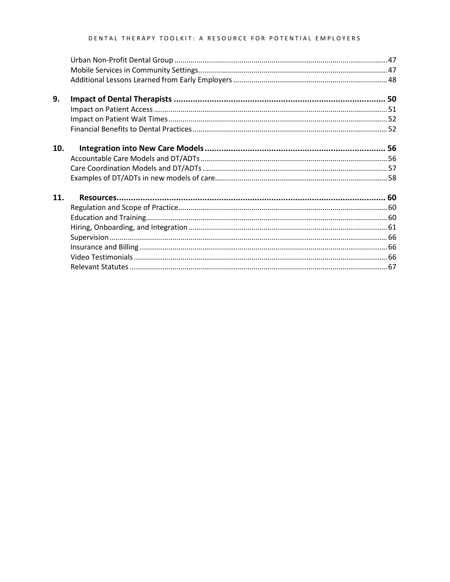### DENTAL THERAPY TOOLKIT: A RESOURCE FOR POTENTIAL EMPLOYERS

| 9.  |  |
|-----|--|
|     |  |
|     |  |
|     |  |
| 10. |  |
|     |  |
|     |  |
|     |  |
| 11. |  |
|     |  |
|     |  |
|     |  |
|     |  |
|     |  |
|     |  |
|     |  |
|     |  |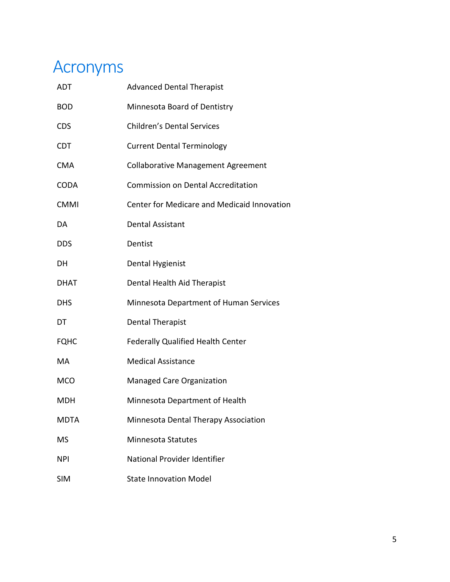## <span id="page-4-0"></span>Acronyms

| <b>ADT</b>  | <b>Advanced Dental Therapist</b>            |
|-------------|---------------------------------------------|
| <b>BOD</b>  | Minnesota Board of Dentistry                |
| <b>CDS</b>  | <b>Children's Dental Services</b>           |
| <b>CDT</b>  | <b>Current Dental Terminology</b>           |
| <b>CMA</b>  | <b>Collaborative Management Agreement</b>   |
| <b>CODA</b> | <b>Commission on Dental Accreditation</b>   |
| <b>CMMI</b> | Center for Medicare and Medicaid Innovation |
| DA          | <b>Dental Assistant</b>                     |
| <b>DDS</b>  | Dentist                                     |
| DH          | Dental Hygienist                            |
| DHAT        | Dental Health Aid Therapist                 |
| <b>DHS</b>  | Minnesota Department of Human Services      |
| DT          | <b>Dental Therapist</b>                     |
| <b>FQHC</b> | <b>Federally Qualified Health Center</b>    |
| MA          | <b>Medical Assistance</b>                   |
| <b>MCO</b>  | <b>Managed Care Organization</b>            |
| MDH         | Minnesota Department of Health              |
| <b>MDTA</b> | Minnesota Dental Therapy Association        |
| <b>MS</b>   | <b>Minnesota Statutes</b>                   |
| <b>NPI</b>  | National Provider Identifier                |
| <b>SIM</b>  | <b>State Innovation Model</b>               |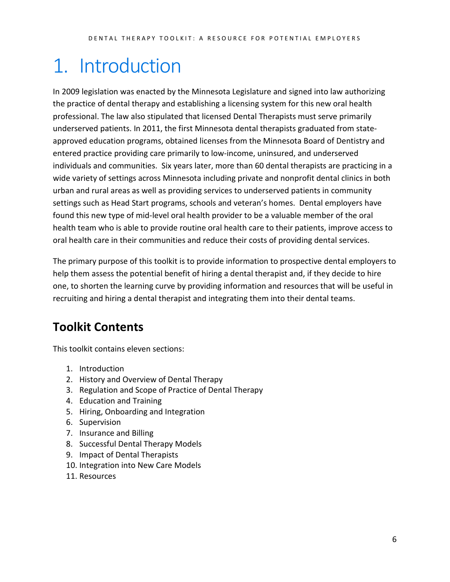# <span id="page-5-0"></span>1. Introduction

In 2009 legislation was enacted by the Minnesota Legislature and signed into law authorizing the practice of dental therapy and establishing a licensing system for this new oral health professional. The law also stipulated that licensed Dental Therapists must serve primarily underserved patients. In 2011, the first Minnesota dental therapists graduated from stateapproved education programs, obtained licenses from the Minnesota Board of Dentistry and entered practice providing care primarily to low-income, uninsured, and underserved individuals and communities. Six years later, more than 60 dental therapists are practicing in a wide variety of settings across Minnesota including private and nonprofit dental clinics in both urban and rural areas as well as providing services to underserved patients in community settings such as Head Start programs, schools and veteran's homes. Dental employers have found this new type of mid-level oral health provider to be a valuable member of the oral health team who is able to provide routine oral health care to their patients, improve access to oral health care in their communities and reduce their costs of providing dental services.

The primary purpose of this toolkit is to provide information to prospective dental employers to help them assess the potential benefit of hiring a dental therapist and, if they decide to hire one, to shorten the learning curve by providing information and resources that will be useful in recruiting and hiring a dental therapist and integrating them into their dental teams.

## <span id="page-5-1"></span>**Toolkit Contents**

This toolkit contains eleven sections:

- 1. Introduction
- 2. History and Overview of Dental Therapy
- 3. Regulation and Scope of Practice of Dental Therapy
- 4. Education and Training
- 5. Hiring, Onboarding and Integration
- 6. Supervision
- 7. Insurance and Billing
- 8. Successful Dental Therapy Models
- 9. Impact of Dental Therapists
- 10. Integration into New Care Models
- <span id="page-5-2"></span>11. Resources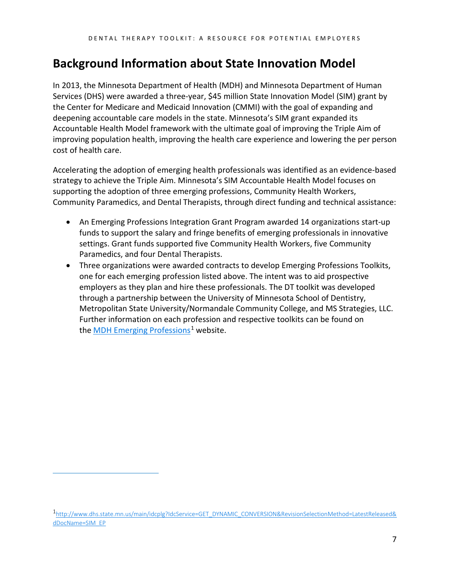## **Background Information about State Innovation Model**

In 2013, the Minnesota Department of Health (MDH) and Minnesota Department of Human Services (DHS) were awarded a three-year, \$45 million State Innovation Model (SIM) grant by the Center for Medicare and Medicaid Innovation (CMMI) with the goal of expanding and deepening accountable care models in the state. Minnesota's SIM grant expanded its Accountable Health Model framework with the ultimate goal of improving the Triple Aim of improving population health, improving the health care experience and lowering the per person cost of health care.

Accelerating the adoption of emerging health professionals was identified as an evidence-based strategy to achieve the Triple Aim. Minnesota's SIM Accountable Health Model focuses on supporting the adoption of three emerging professions, Community Health Workers, Community Paramedics, and Dental Therapists, through direct funding and technical assistance:

- An Emerging Professions Integration Grant Program awarded 14 organizations start-up funds to support the salary and fringe benefits of emerging professionals in innovative settings. Grant funds supported five Community Health Workers, five Community Paramedics, and four Dental Therapists.
- Three organizations were awarded contracts to develop Emerging Professions Toolkits, one for each emerging profession listed above. The intent was to aid prospective employers as they plan and hire these professionals. The DT toolkit was developed through a partnership between the University of Minnesota School of Dentistry, Metropolitan State University/Normandale Community College, and MS Strategies, LLC. Further information on each profession and respective toolkits can be found on the [MDH Emerging Professions](http://www.dhs.state.mn.us/main/idcplg?IdcService=GET_DYNAMIC_CONVERSION&RevisionSelectionMethod=LatestReleased&dDocName=SIM_EP)<sup>[1](#page-6-0)</sup> website.

<span id="page-6-0"></span>[<sup>1</sup>http://www.dhs.state.mn.us/main/idcplg?IdcService=GET\\_DYNAMIC\\_CONVERSION&RevisionSelectionMethod=LatestReleased&](http://www.dhs.state.mn.us/main/idcplg?IdcService=GET_DYNAMIC_CONVERSION&RevisionSelectionMethod=LatestReleased&dDocName=SIM_EP) [dDocName=SIM\\_EP](http://www.dhs.state.mn.us/main/idcplg?IdcService=GET_DYNAMIC_CONVERSION&RevisionSelectionMethod=LatestReleased&dDocName=SIM_EP)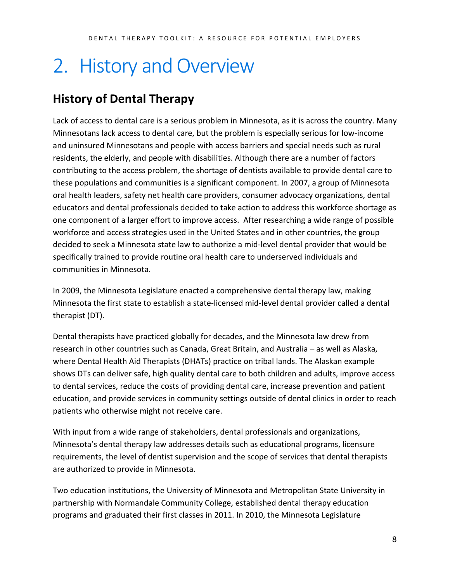# <span id="page-7-0"></span>2. History and Overview

## <span id="page-7-1"></span>**History of Dental Therapy**

Lack of access to dental care is a serious problem in Minnesota, as it is across the country. Many Minnesotans lack access to dental care, but the problem is especially serious for low-income and uninsured Minnesotans and people with access barriers and special needs such as rural residents, the elderly, and people with disabilities. Although there are a number of factors contributing to the access problem, the shortage of dentists available to provide dental care to these populations and communities is a significant component. In 2007, a group of Minnesota oral health leaders, safety net health care providers, consumer advocacy organizations, dental educators and dental professionals decided to take action to address this workforce shortage as one component of a larger effort to improve access. After researching a wide range of possible workforce and access strategies used in the United States and in other countries, the group decided to seek a Minnesota state law to authorize a mid-level dental provider that would be specifically trained to provide routine oral health care to underserved individuals and communities in Minnesota.

In 2009, the Minnesota Legislature enacted a comprehensive dental therapy law, making Minnesota the first state to establish a state-licensed mid-level dental provider called a dental therapist (DT).

Dental therapists have practiced globally for decades, and the Minnesota law drew from research in other countries such as Canada, Great Britain, and Australia – as well as Alaska, where Dental Health Aid Therapists (DHATs) practice on tribal lands. The Alaskan example shows DTs can deliver safe, high quality dental care to both children and adults, improve access to dental services, reduce the costs of providing dental care, increase prevention and patient education, and provide services in community settings outside of dental clinics in order to reach patients who otherwise might not receive care.

With input from a wide range of stakeholders, dental professionals and organizations, Minnesota's dental therapy law addresses details such as educational programs, licensure requirements, the level of dentist supervision and the scope of services that dental therapists are authorized to provide in Minnesota.

Two education institutions, the University of Minnesota and Metropolitan State University in partnership with Normandale Community College, established dental therapy education programs and graduated their first classes in 2011. In 2010, the Minnesota Legislature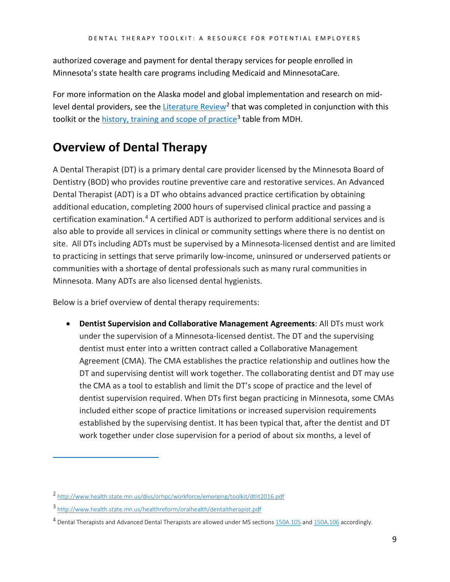authorized coverage and payment for dental therapy services for people enrolled in Minnesota's state health care programs including Medicaid and MinnesotaCare.

For more information on the Alaska model and global implementation and research on mid-level dental providers, see the [Literature Review](http://www.health.state.mn.us/divs/orhpc/workforce/emerging/toolkit/dtlit2016.pdf)<sup>[2](#page-8-1)</sup> that was completed in conjunction with this toolkit or the [history, training and scope of practice](http://www.health.state.mn.us/healthreform/oralhealth/dentaltherapist.pdf)<sup>[3](#page-8-2)</sup> table from MDH.

## <span id="page-8-0"></span>**Overview of Dental Therapy**

A Dental Therapist (DT) is a primary dental care provider licensed by the Minnesota Board of Dentistry (BOD) who provides routine preventive care and restorative services. An Advanced Dental Therapist (ADT) is a DT who obtains advanced practice certification by obtaining additional education, completing 2000 hours of supervised clinical practice and passing a certification examination.[4](#page-8-3) A certified ADT is authorized to perform additional services and is also able to provide all services in clinical or community settings where there is no dentist on site. All DTs including ADTs must be supervised by a Minnesota-licensed dentist and are limited to practicing in settings that serve primarily low-income, uninsured or underserved patients or communities with a shortage of dental professionals such as many rural communities in Minnesota. Many ADTs are also licensed dental hygienists.

Below is a brief overview of dental therapy requirements:

• **Dentist Supervision and Collaborative Management Agreements**: All DTs must work under the supervision of a Minnesota-licensed dentist. The DT and the supervising dentist must enter into a written contract called a Collaborative Management Agreement (CMA). The CMA establishes the practice relationship and outlines how the DT and supervising dentist will work together. The collaborating dentist and DT may use the CMA as a tool to establish and limit the DT's scope of practice and the level of dentist supervision required. When DTs first began practicing in Minnesota, some CMAs included either scope of practice limitations or increased supervision requirements established by the supervising dentist. It has been typical that, after the dentist and DT work together under close supervision for a period of about six months, a level of

<span id="page-8-1"></span><sup>2</sup> <http://www.health.state.mn.us/divs/orhpc/workforce/emerging/toolkit/dtlit2016.pdf>

<span id="page-8-2"></span><sup>3</sup> <http://www.health.state.mn.us/healthreform/oralhealth/dentaltherapist.pdf>

<span id="page-8-3"></span><sup>&</sup>lt;sup>4</sup> Dental Therapists and Advanced Dental Therapists are allowed under MS sections [150A.105](https://www.revisor.mn.gov/statutes/?id=150A.105) an[d 150A.106](https://www.revisor.mn.gov/statutes/?id=150A.106) accordingly.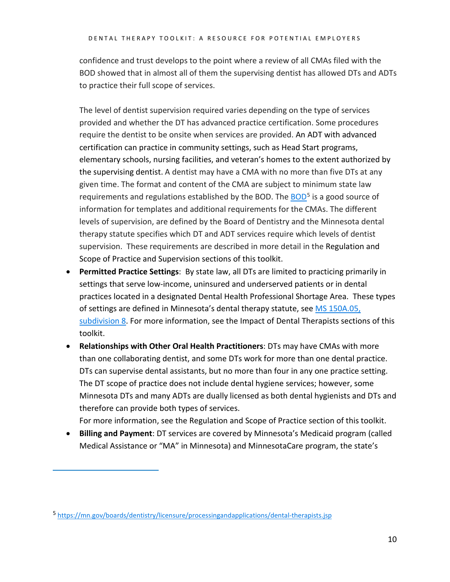confidence and trust develops to the point where a review of all CMAs filed with the BOD showed that in almost all of them the supervising dentist has allowed DTs and ADTs to practice their full scope of services.

The level of dentist supervision required varies depending on the type of services provided and whether the DT has advanced practice certification. Some procedures require the dentist to be onsite when services are provided. An ADT with advanced certification can practice in community settings, such as Head Start programs, elementary schools, nursing facilities, and veteran's homes to the extent authorized by the supervising dentist. A dentist may have a CMA with no more than five DTs at any given time. The format and content of the CMA are subject to minimum state law requirements and regulations established by the [BOD](https://mn.gov/boards/dentistry/licensure/processingandapplications/dental-therapists.jsp). The BOD<sup>[5](#page-9-0)</sup> is a good source of information for templates and additional requirements for the CMAs. The different levels of supervision, are defined by the Board of Dentistry and the Minnesota dental therapy statute specifies which DT and ADT services require which levels of dentist supervision. These requirements are described in more detail in the Regulation and Scope of Practice and Supervision sections of this toolkit.

- **Permitted Practice Settings**: By state law, all DTs are limited to practicing primarily in settings that serve low-income, uninsured and underserved patients or in dental practices located in a designated Dental Health Professional Shortage Area. These types of settings are defined in Minnesota's dental therapy statute, see [MS 150A.05,](https://www.revisor.mn.gov/statutes?id=150A.105)  [subdivision 8.](https://www.revisor.mn.gov/statutes?id=150A.105) For more information, see the Impact of Dental Therapists sections of this toolkit.
- **Relationships with Other Oral Health Practitioners**: DTs may have CMAs with more than one collaborating dentist, and some DTs work for more than one dental practice. DTs can supervise dental assistants, but no more than four in any one practice setting. The DT scope of practice does not include dental hygiene services; however, some Minnesota DTs and many ADTs are dually licensed as both dental hygienists and DTs and therefore can provide both types of services.

For more information, see the Regulation and Scope of Practice section of this toolkit.

• **Billing and Payment**: DT services are covered by Minnesota's Medicaid program (called Medical Assistance or "MA" in Minnesota) and MinnesotaCare program, the state's

<span id="page-9-0"></span><sup>5</sup> <https://mn.gov/boards/dentistry/licensure/processingandapplications/dental-therapists.jsp>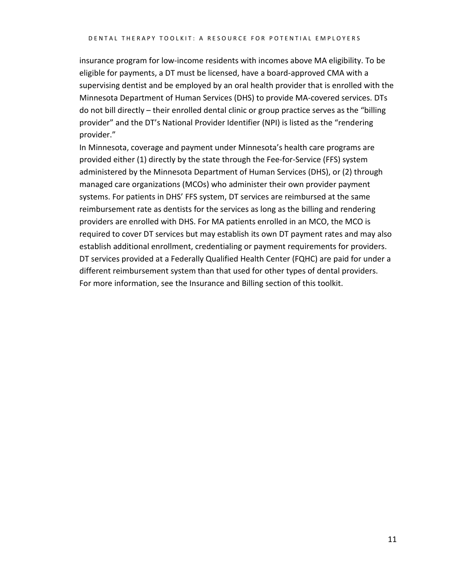insurance program for low-income residents with incomes above MA eligibility. To be eligible for payments, a DT must be licensed, have a board-approved CMA with a supervising dentist and be employed by an oral health provider that is enrolled with the Minnesota Department of Human Services (DHS) to provide MA-covered services. DTs do not bill directly – their enrolled dental clinic or group practice serves as the "billing provider" and the DT's National Provider Identifier (NPI) is listed as the "rendering provider."

In Minnesota, coverage and payment under Minnesota's health care programs are provided either (1) directly by the state through the Fee-for-Service (FFS) system administered by the Minnesota Department of Human Services (DHS), or (2) through managed care organizations (MCOs) who administer their own provider payment systems. For patients in DHS' FFS system, DT services are reimbursed at the same reimbursement rate as dentists for the services as long as the billing and rendering providers are enrolled with DHS. For MA patients enrolled in an MCO, the MCO is required to cover DT services but may establish its own DT payment rates and may also establish additional enrollment, credentialing or payment requirements for providers. DT services provided at a Federally Qualified Health Center (FQHC) are paid for under a different reimbursement system than that used for other types of dental providers. For more information, see the Insurance and Billing section of this toolkit.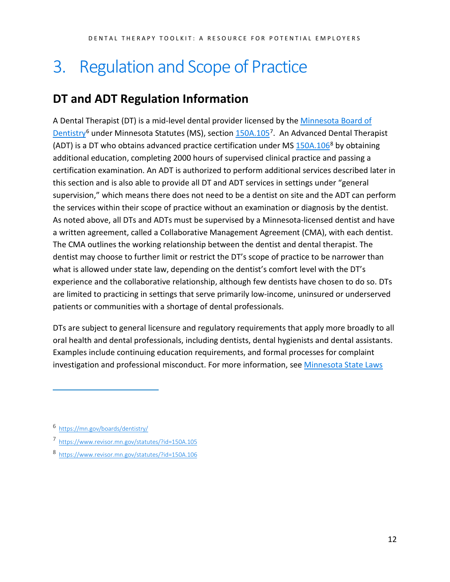## <span id="page-11-0"></span>3. Regulation and Scope of Practice

## <span id="page-11-1"></span>**DT and ADT Regulation Information**

A Dental Therapist (DT) is a mid-level dental provider licensed by the [Minnesota Board of](http://mn.gov/boards/dentistry)  [Dentistry](http://mn.gov/boards/dentistry)<sup>[6](#page-11-2)</sup> under Minnesota Statutes (MS), section  $150A.105^7$ . An Advanced Dental Therapist (ADT) is a DT who obtains advanced practice certification under MS  $150A.106<sup>8</sup>$  $150A.106<sup>8</sup>$  $150A.106<sup>8</sup>$  by obtaining additional education, completing 2000 hours of supervised clinical practice and passing a certification examination. An ADT is authorized to perform additional services described later in this section and is also able to provide all DT and ADT services in settings under "general supervision," which means there does not need to be a dentist on site and the ADT can perform the services within their scope of practice without an examination or diagnosis by the dentist. As noted above, all DTs and ADTs must be supervised by a Minnesota-licensed dentist and have a written agreement, called a Collaborative Management Agreement (CMA), with each dentist. The CMA outlines the working relationship between the dentist and dental therapist. The dentist may choose to further limit or restrict the DT's scope of practice to be narrower than what is allowed under state law, depending on the dentist's comfort level with the DT's experience and the collaborative relationship, although few dentists have chosen to do so. DTs are limited to practicing in settings that serve primarily low-income, uninsured or underserved patients or communities with a shortage of dental professionals.

DTs are subject to general licensure and regulatory requirements that apply more broadly to all oral health and dental professionals, including dentists, dental hygienists and dental assistants. Examples include continuing education requirements, and formal processes for complaint investigation and professional misconduct. For more information, se[e Minnesota State Laws](http://www.health.state.mn.us/divs/orhpc/workforce/emerging/toolkit/2016laws.pdf) 

<span id="page-11-2"></span><sup>6</sup><https://mn.gov/boards/dentistry/>

<span id="page-11-3"></span><sup>7</sup><https://www.revisor.mn.gov/statutes/?id=150A.105>

<span id="page-11-4"></span><sup>8</sup><https://www.revisor.mn.gov/statutes/?id=150A.106>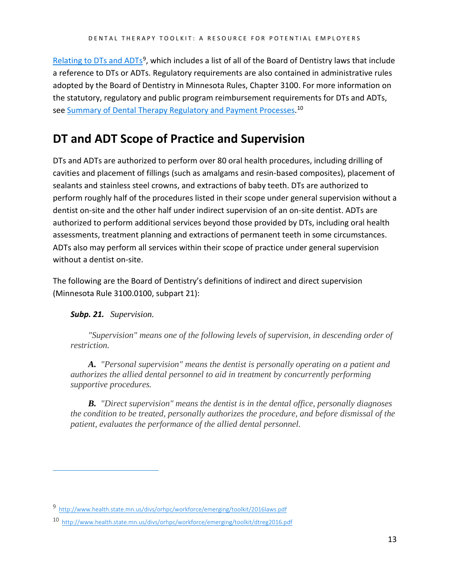[Relating to DTs and ADTs](http://www.health.state.mn.us/divs/orhpc/workforce/emerging/toolkit/2016laws.pdf)<sup>9</sup>, which includes a list of all of the Board of Dentistry laws that include a reference to DTs or ADTs. Regulatory requirements are also contained in administrative rules adopted by the Board of Dentistry in Minnesota Rules, Chapter 3100. For more information on the statutory, regulatory and public program reimbursement requirements for DTs and ADTs, see [Summary of Dental Therapy Regulatory and Payment Processes.](http://www.health.state.mn.us/divs/orhpc/workforce/emerging/toolkit/dtreg2016.pdf)<sup>[10](#page-12-2)</sup>

### <span id="page-12-0"></span>**DT and ADT Scope of Practice and Supervision**

DTs and ADTs are authorized to perform over 80 oral health procedures, including drilling of cavities and placement of fillings (such as amalgams and resin-based composites), placement of sealants and stainless steel crowns, and extractions of baby teeth. DTs are authorized to perform roughly half of the procedures listed in their scope under general supervision without a dentist on-site and the other half under indirect supervision of an on-site dentist. ADTs are authorized to perform additional services beyond those provided by DTs, including oral health assessments, treatment planning and extractions of permanent teeth in some circumstances. ADTs also may perform all services within their scope of practice under general supervision without a dentist on-site.

The following are the Board of Dentistry's definitions of indirect and direct supervision (Minnesota Rule 3100.0100, subpart 21):

### *Subp. 21. Supervision.*

 $\overline{a}$ 

*"Supervision" means one of the following levels of supervision, in descending order of restriction.*

*A. "Personal supervision" means the dentist is personally operating on a patient and authorizes the allied dental personnel to aid in treatment by concurrently performing supportive procedures.*

*B. "Direct supervision" means the dentist is in the dental office, personally diagnoses the condition to be treated, personally authorizes the procedure, and before dismissal of the patient, evaluates the performance of the allied dental personnel.*

<span id="page-12-1"></span><sup>9</sup><http://www.health.state.mn.us/divs/orhpc/workforce/emerging/toolkit/2016laws.pdf>

<span id="page-12-2"></span><sup>10</sup><http://www.health.state.mn.us/divs/orhpc/workforce/emerging/toolkit/dtreg2016.pdf>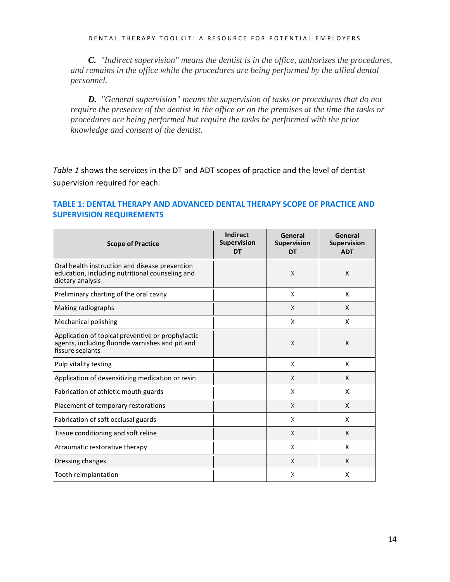DENTAL THERAPY TOOLKIT: A RESOURCE FOR POTENTIAL EMPLOYERS

*C. "Indirect supervision" means the dentist is in the office, authorizes the procedures, and remains in the office while the procedures are being performed by the allied dental personnel.* 

*D. "General supervision" means the supervision of tasks or procedures that do not require the presence of the dentist in the office or on the premises at the time the tasks or procedures are being performed but require the tasks be performed with the prior knowledge and consent of the dentist.* 

*Table 1* shows the services in the DT and ADT scopes of practice and the level of dentist supervision required for each.

### **TABLE 1: DENTAL THERAPY AND ADVANCED DENTAL THERAPY SCOPE OF PRACTICE AND SUPERVISION REQUIREMENTS**

| <b>Scope of Practice</b>                                                                                                  | Indirect<br><b>Supervision</b><br>DT | General<br><b>Supervision</b><br>DT | General<br>Supervision<br><b>ADT</b> |
|---------------------------------------------------------------------------------------------------------------------------|--------------------------------------|-------------------------------------|--------------------------------------|
| Oral health instruction and disease prevention<br>education, including nutritional counseling and<br>dietary analysis     |                                      | $\times$                            | X                                    |
| Preliminary charting of the oral cavity                                                                                   |                                      | X                                   | X                                    |
| Making radiographs                                                                                                        |                                      | $\times$                            | X                                    |
| Mechanical polishing                                                                                                      |                                      | X                                   | X                                    |
| Application of topical preventive or prophylactic<br>agents, including fluoride varnishes and pit and<br>fissure sealants |                                      | $\chi$                              | X                                    |
| Pulp vitality testing                                                                                                     |                                      | X                                   | X                                    |
| Application of desensitizing medication or resin                                                                          |                                      | X                                   | X                                    |
| Fabrication of athletic mouth guards                                                                                      |                                      | X                                   | X                                    |
| Placement of temporary restorations                                                                                       |                                      | $\times$                            | X                                    |
| Fabrication of soft occlusal guards                                                                                       |                                      | X                                   | X                                    |
| Tissue conditioning and soft reline                                                                                       |                                      | $\times$                            | X                                    |
| Atraumatic restorative therapy                                                                                            |                                      | X                                   | X                                    |
| Dressing changes                                                                                                          |                                      | $\times$                            | X                                    |
| Tooth reimplantation                                                                                                      |                                      | X                                   | X                                    |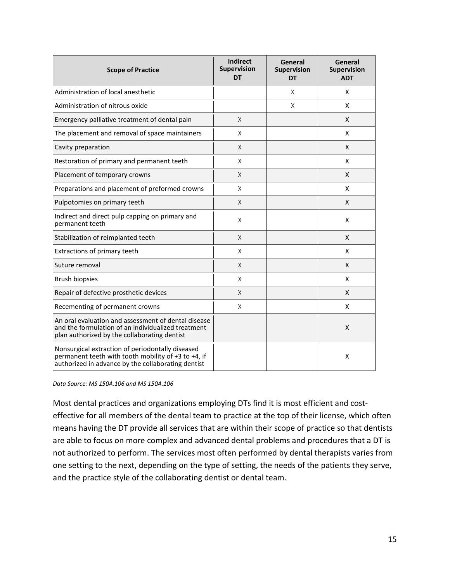| <b>Scope of Practice</b>                                                                                                                                      | <b>Indirect</b><br><b>Supervision</b><br>DT | General<br><b>Supervision</b><br><b>DT</b> | General<br><b>Supervision</b><br><b>ADT</b> |
|---------------------------------------------------------------------------------------------------------------------------------------------------------------|---------------------------------------------|--------------------------------------------|---------------------------------------------|
| Administration of local anesthetic                                                                                                                            |                                             | X                                          | X                                           |
| Administration of nitrous oxide                                                                                                                               |                                             | X                                          | X                                           |
| Emergency palliative treatment of dental pain                                                                                                                 | X                                           |                                            | X                                           |
| The placement and removal of space maintainers                                                                                                                | X                                           |                                            | X                                           |
| Cavity preparation                                                                                                                                            | X                                           |                                            | X                                           |
| Restoration of primary and permanent teeth                                                                                                                    | X                                           |                                            | X                                           |
| Placement of temporary crowns                                                                                                                                 | X                                           |                                            | X                                           |
| Preparations and placement of preformed crowns                                                                                                                | X                                           |                                            | X                                           |
| Pulpotomies on primary teeth                                                                                                                                  | X                                           |                                            | X                                           |
| Indirect and direct pulp capping on primary and<br>permanent teeth                                                                                            | X                                           |                                            | X                                           |
| Stabilization of reimplanted teeth                                                                                                                            | X                                           |                                            | X                                           |
| Extractions of primary teeth                                                                                                                                  | X                                           |                                            | X                                           |
| Suture removal                                                                                                                                                | X                                           |                                            | X                                           |
| <b>Brush biopsies</b>                                                                                                                                         | X                                           |                                            | X                                           |
| Repair of defective prosthetic devices                                                                                                                        | X                                           |                                            | X                                           |
| Recementing of permanent crowns                                                                                                                               | X                                           |                                            | X                                           |
| An oral evaluation and assessment of dental disease<br>and the formulation of an individualized treatment<br>plan authorized by the collaborating dentist     |                                             |                                            | X                                           |
| Nonsurgical extraction of periodontally diseased<br>permanent teeth with tooth mobility of +3 to +4, if<br>authorized in advance by the collaborating dentist |                                             |                                            | X                                           |

*Data Source: MS 150A.106 and MS 150A.106*

Most dental practices and organizations employing DTs find it is most efficient and costeffective for all members of the dental team to practice at the top of their license, which often means having the DT provide all services that are within their scope of practice so that dentists are able to focus on more complex and advanced dental problems and procedures that a DT is not authorized to perform. The services most often performed by dental therapists varies from one setting to the next, depending on the type of setting, the needs of the patients they serve, and the practice style of the collaborating dentist or dental team.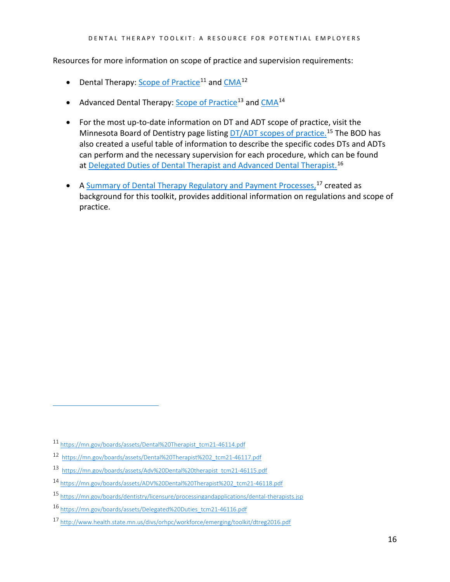Resources for more information on scope of practice and supervision requirements:

- Dental Therapy: [Scope of Practice](https://mn.gov/boards/assets/Dental%20Therapist_tcm21-46114.pdf)<sup>[11](#page-15-0)</sup> an[d CMA](https://mn.gov/boards/assets/Dental%20Therapist%202_tcm21-46117.pdf)<sup>[12](#page-15-1)</sup>
- Advanced Dental Therapy: [Scope of Practice](https://mn.gov/boards/assets/Adv%20Dental%20therapist_tcm21-46115.pdf)<sup>[13](#page-15-2)</sup> and [CMA](https://mn.gov/boards/assets/ADV%20Dental%20Therapist%202_tcm21-46118.pdf)<sup>[14](#page-15-3)</sup>
- For the most up-to-date information on DT and ADT scope of practice, visit the Minnesota Board of Dentistry page listing **DT/ADT** scopes of practice.<sup>[15](#page-15-4)</sup> The BOD has also created a useful table of information to describe the specific codes DTs and ADTs can perform and the necessary supervision for each procedure, which can be found at **Delegated Duties of Dental Therapist and Advanced Dental Therapist.**<sup>[16](#page-15-5)</sup>
- A [Summary of Dental Therapy Regulatory and Payment Processes,](http://www.health.state.mn.us/divs/orhpc/workforce/emerging/toolkit/dtreg2016.pdf)<sup>[17](#page-15-6)</sup> created as background for this toolkit, provides additional information on regulations and scope of practice.

<span id="page-15-0"></span><sup>11</sup> [https://mn.gov/boards/assets/Dental%20Therapist\\_tcm21-46114.pdf](https://mn.gov/boards/assets/Dental%20Therapist_tcm21-46114.pdf)

<span id="page-15-1"></span><sup>12</sup> [https://mn.gov/boards/assets/Dental%20Therapist%202\\_tcm21-46117.pdf](https://mn.gov/boards/assets/Dental%20Therapist%202_tcm21-46117.pdf)

<span id="page-15-2"></span><sup>13</sup> [https://mn.gov/boards/assets/Adv%20Dental%20therapist\\_tcm21-46115.pdf](https://mn.gov/boards/assets/Adv%20Dental%20therapist_tcm21-46115.pdf)

<span id="page-15-3"></span><sup>14</sup> [https://mn.gov/boards/assets/ADV%20Dental%20Therapist%202\\_tcm21-46118.pdf](https://mn.gov/boards/assets/ADV%20Dental%20Therapist%202_tcm21-46118.pdf)

<span id="page-15-4"></span><sup>15</sup> <https://mn.gov/boards/dentistry/licensure/processingandapplications/dental-therapists.jsp>

<span id="page-15-5"></span><sup>16</sup> [https://mn.gov/boards/assets/Delegated%20Duties\\_tcm21-46116.pdf](https://mn.gov/boards/assets/Delegated%20Duties_tcm21-46116.pdf)

<span id="page-15-6"></span><sup>17</sup> <http://www.health.state.mn.us/divs/orhpc/workforce/emerging/toolkit/dtreg2016.pdf>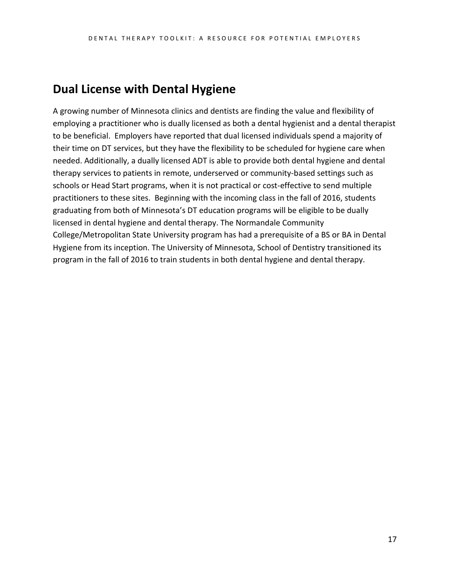### <span id="page-16-0"></span>**Dual License with Dental Hygiene**

A growing number of Minnesota clinics and dentists are finding the value and flexibility of employing a practitioner who is dually licensed as both a dental hygienist and a dental therapist to be beneficial. Employers have reported that dual licensed individuals spend a majority of their time on DT services, but they have the flexibility to be scheduled for hygiene care when needed. Additionally, a dually licensed ADT is able to provide both dental hygiene and dental therapy services to patients in remote, underserved or community-based settings such as schools or Head Start programs, when it is not practical or cost-effective to send multiple practitioners to these sites. Beginning with the incoming class in the fall of 2016, students graduating from both of Minnesota's DT education programs will be eligible to be dually licensed in dental hygiene and dental therapy. The Normandale Community College/Metropolitan State University program has had a prerequisite of a BS or BA in Dental Hygiene from its inception. The University of Minnesota, School of Dentistry transitioned its program in the fall of 2016 to train students in both dental hygiene and dental therapy.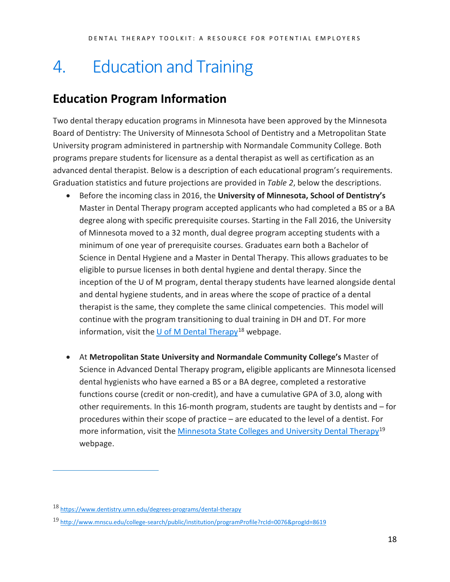## <span id="page-17-0"></span>4. Education and Training

### <span id="page-17-1"></span>**Education Program Information**

Two dental therapy education programs in Minnesota have been approved by the Minnesota Board of Dentistry: The University of Minnesota School of Dentistry and a Metropolitan State University program administered in partnership with Normandale Community College. Both programs prepare students for licensure as a dental therapist as well as certification as an advanced dental therapist. Below is a description of each educational program's requirements. Graduation statistics and future projections are provided in *Table 2*, below the descriptions.

- Before the incoming class in 2016, the **University of Minnesota, School of Dentistry's**  Master in Dental Therapy program accepted applicants who had completed a BS or a BA degree along with specific prerequisite courses. Starting in the Fall 2016, the University of Minnesota moved to a 32 month, dual degree program accepting students with a minimum of one year of prerequisite courses. Graduates earn both a Bachelor of Science in Dental Hygiene and a Master in Dental Therapy. This allows graduates to be eligible to pursue licenses in both dental hygiene and dental therapy. Since the inception of the U of M program, dental therapy students have learned alongside dental and dental hygiene students, and in areas where the scope of practice of a dental therapist is the same, they complete the same clinical competencies. This model will continue with the program transitioning to dual training in DH and DT. For more information, visit the U of M [Dental Therapy](https://www.dentistry.umn.edu/degrees-programs/dental-therapy)<sup>[18](#page-17-2)</sup> webpage.
- At **Metropolitan State University and Normandale Community College's** Master of Science in Advanced Dental Therapy program**,** eligible applicants are Minnesota licensed dental hygienists who have earned a BS or a BA degree, completed a restorative functions course (credit or non-credit), and have a cumulative GPA of 3.0, along with other requirements. In this 16-month program, students are taught by dentists and – for procedures within their scope of practice – are educated to the level of a dentist. For more information, visit the [Minnesota State Colleges and University Dental Therapy](http://www.mnscu.edu/college-search/public/institution/programProfile?rcId=0076&progId=8619)<sup>[19](#page-17-3)</sup> webpage.

<span id="page-17-2"></span><sup>18</sup> <https://www.dentistry.umn.edu/degrees-programs/dental-therapy>

<span id="page-17-3"></span><sup>19</sup> <http://www.mnscu.edu/college-search/public/institution/programProfile?rcId=0076&progId=8619>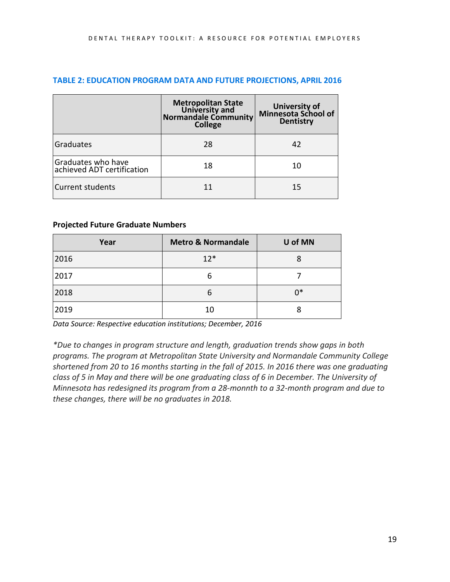|                                                  | <b>Metropolitan State</b><br>University and<br><b>Normandale Community</b><br><b>College</b> | University of<br>Minnesota School of<br><b>Dentistry</b> |
|--------------------------------------------------|----------------------------------------------------------------------------------------------|----------------------------------------------------------|
| Graduates                                        | 28                                                                                           | 42                                                       |
| Graduates who have<br>achieved ADT certification | 18                                                                                           | 10                                                       |
| <b>Current students</b>                          |                                                                                              | 15                                                       |

### **TABLE 2: EDUCATION PROGRAM DATA AND FUTURE PROJECTIONS, APRIL 2016**

### **Projected Future Graduate Numbers**

| Year | <b>Metro &amp; Normandale</b> | U of MN |
|------|-------------------------------|---------|
| 2016 | $12*$                         | 8       |
| 2017 | 6                             |         |
| 2018 | 6                             | n*      |
| 2019 | 10                            |         |

*Data Source: Respective education institutions; December, 2016*

*\*Due to changes in program structure and length, graduation trends show gaps in both programs. The program at Metropolitan State University and Normandale Community College shortened from 20 to 16 months starting in the fall of 2015. In 2016 there was one graduating class of 5 in May and there will be one graduating class of 6 in December. The University of Minnesota has redesigned its program from a 28-monnth to a 32-month program and due to these changes, there will be no graduates in 2018.*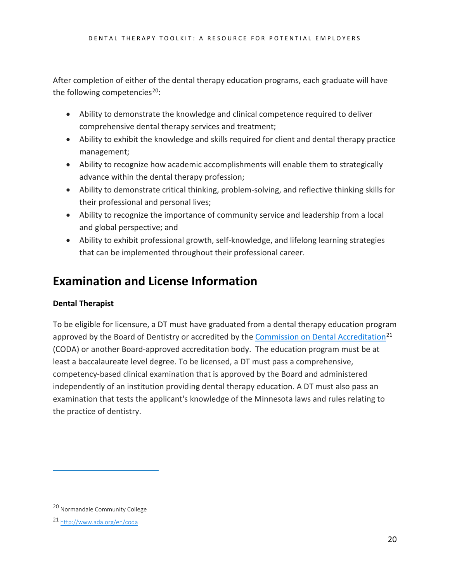After completion of either of the dental therapy education programs, each graduate will have the following competencies<sup>20</sup>:

- Ability to demonstrate the knowledge and clinical competence required to deliver comprehensive dental therapy services and treatment;
- Ability to exhibit the knowledge and skills required for client and dental therapy practice management;
- Ability to recognize how academic accomplishments will enable them to strategically advance within the dental therapy profession;
- Ability to demonstrate critical thinking, problem-solving, and reflective thinking skills for their professional and personal lives;
- Ability to recognize the importance of community service and leadership from a local and global perspective; and
- Ability to exhibit professional growth, self-knowledge, and lifelong learning strategies that can be implemented throughout their professional career.

## <span id="page-19-0"></span>**Examination and License Information**

### **Dental Therapist**

To be eligible for licensure, a DT must have graduated from a dental therapy education program approved by the Board of Dentistry or accredited by the [Commission on Dental Accreditation](http://www.ada.org/en/coda)<sup>[21](#page-19-2)</sup> (CODA) or another Board-approved accreditation body. The education program must be at least a baccalaureate level degree. To be licensed, a DT must pass a comprehensive, competency-based clinical examination that is approved by the Board and administered independently of an institution providing dental therapy education. A DT must also pass an examination that tests the applicant's knowledge of the Minnesota laws and rules relating to the practice of dentistry.

<span id="page-19-1"></span><sup>20</sup> Normandale Community College

<span id="page-19-2"></span><sup>21</sup> <http://www.ada.org/en/coda>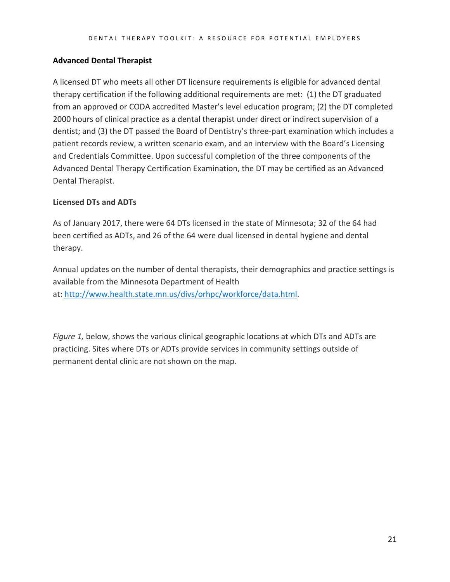### **Advanced Dental Therapist**

A licensed DT who meets all other DT licensure requirements is eligible for advanced dental therapy certification if the following additional requirements are met: (1) the DT graduated from an approved or CODA accredited Master's level education program; (2) the DT completed 2000 hours of clinical practice as a dental therapist under direct or indirect supervision of a dentist; and (3) the DT passed the Board of Dentistry's three-part examination which includes a patient records review, a written scenario exam, and an interview with the Board's Licensing and Credentials Committee. Upon successful completion of the three components of the Advanced Dental Therapy Certification Examination, the DT may be certified as an Advanced Dental Therapist.

### **Licensed DTs and ADTs**

As of January 2017, there were 64 DTs licensed in the state of Minnesota; 32 of the 64 had been certified as ADTs, and 26 of the 64 were dual licensed in dental hygiene and dental therapy.

Annual updates on the number of dental therapists, their demographics and practice settings is available from the Minnesota Department of Health at[: http://www.health.state.mn.us/divs/orhpc/workforce/data.html.](http://www.health.state.mn.us/divs/orhpc/workforce/data.html)

*Figure 1,* below, shows the various clinical geographic locations at which DTs and ADTs are practicing. Sites where DTs or ADTs provide services in community settings outside of permanent dental clinic are not shown on the map.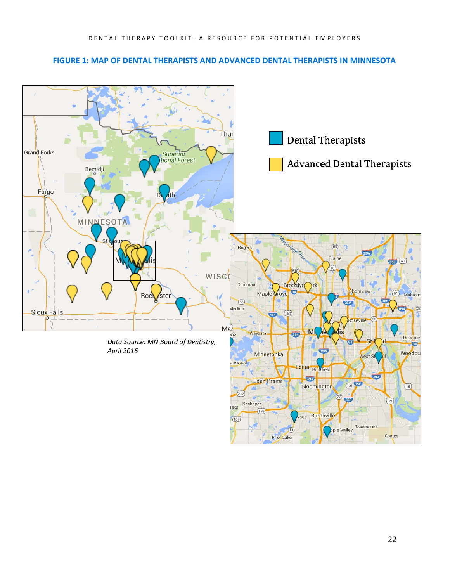#### **FIGURE 1: MAP OF DENTAL THERAPISTS AND ADVANCED DENTAL THERAPISTS IN MINNESOTA**

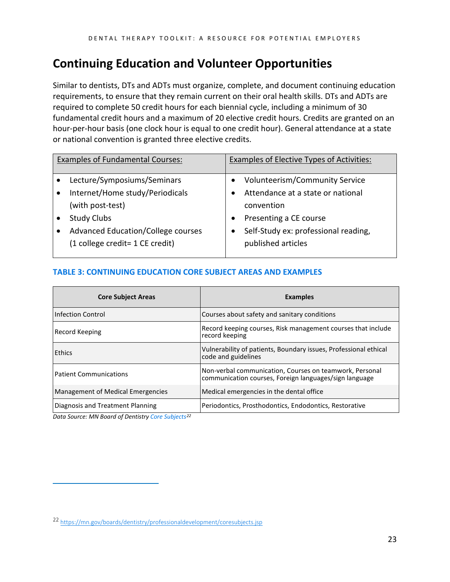## <span id="page-22-0"></span>**Continuing Education and Volunteer Opportunities**

Similar to dentists, DTs and ADTs must organize, complete, and document continuing education requirements, to ensure that they remain current on their oral health skills. DTs and ADTs are required to complete 50 credit hours for each biennial cycle, including a minimum of 30 fundamental credit hours and a maximum of 20 elective credit hours. Credits are granted on an hour-per-hour basis (one clock hour is equal to one credit hour). General attendance at a state or national convention is granted three elective credits.

| <b>Examples of Fundamental Courses:</b> | <b>Examples of Elective Types of Activities:</b> |
|-----------------------------------------|--------------------------------------------------|
| Lecture/Symposiums/Seminars             | Volunteerism/Community Service                   |
| Internet/Home study/Periodicals         | Attendance at a state or national                |
| (with post-test)                        | convention                                       |
| <b>Study Clubs</b>                      | Presenting a CE course                           |
| Advanced Education/College courses      | Self-Study ex: professional reading,             |
| (1 college credit = 1 CE credit)        | published articles                               |
|                                         |                                                  |

### **TABLE 3: CONTINUING EDUCATION CORE SUBJECT AREAS AND EXAMPLES**

| <b>Core Subject Areas</b>         | <b>Examples</b>                                                                                                   |
|-----------------------------------|-------------------------------------------------------------------------------------------------------------------|
| <b>Infection Control</b>          | Courses about safety and sanitary conditions                                                                      |
| <b>Record Keeping</b>             | Record keeping courses, Risk management courses that include<br>record keeping                                    |
| Ethics                            | Vulnerability of patients, Boundary issues, Professional ethical<br>code and guidelines                           |
| <b>Patient Communications</b>     | Non-verbal communication, Courses on teamwork, Personal<br>communication courses, Foreign languages/sign language |
| Management of Medical Emergencies | Medical emergencies in the dental office                                                                          |
| Diagnosis and Treatment Planning  | Periodontics, Prosthodontics, Endodontics, Restorative                                                            |

*Data Source: MN Board of Dentistr[y Core Subjects](https://mn.gov/boards/dentistry/professionaldevelopment/coresubjects.jsphttps:/mn.gov/boards/dentistry/professionaldevelopment/coresubjects.jsp)[22](#page-22-1)*

<span id="page-22-1"></span><sup>22</sup> <https://mn.gov/boards/dentistry/professionaldevelopment/coresubjects.jsp>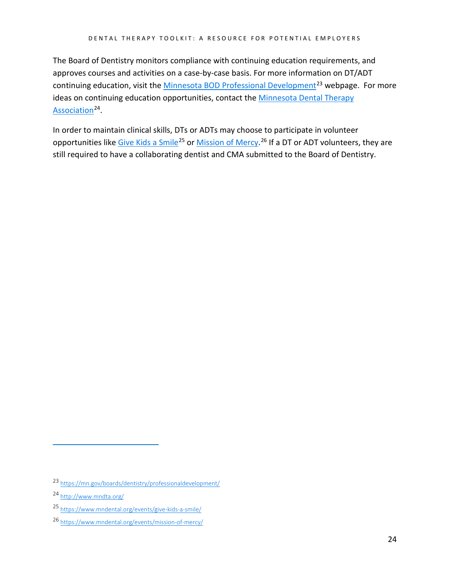The Board of Dentistry monitors compliance with continuing education requirements, and approves courses and activities on a case-by-case basis. For more information on DT/ADT continuing education, visit the Minnesota [BOD Professional Development](https://mn.gov/boards/dentistry/professionaldevelopment/)<sup>[23](#page-23-0)</sup> webpage. For more ideas on continuing education opportunities, contact the [Minnesota Dental Therapy](http://www.mndta.org/)  [Association](http://www.mndta.org/)<sup>[24](#page-23-1)</sup>.

In order to maintain clinical skills, DTs or ADTs may choose to participate in volunteer opportunities lik[e Give Kids a Smile](https://www.mndental.org/events/give-kids-a-smile/)<sup>[25](#page-23-2)</sup> or [Mission of Mercy.](https://www.mndental.org/events/mission-of-mercy/)<sup>[26](#page-23-3)</sup> If a DT or ADT volunteers, they are still required to have a collaborating dentist and CMA submitted to the Board of Dentistry.

<span id="page-23-0"></span><sup>23</sup> <https://mn.gov/boards/dentistry/professionaldevelopment/>

<span id="page-23-1"></span><sup>24</sup> <http://www.mndta.org/>

<span id="page-23-2"></span><sup>25</sup> <https://www.mndental.org/events/give-kids-a-smile/>

<span id="page-23-3"></span><sup>26</sup> <https://www.mndental.org/events/mission-of-mercy/>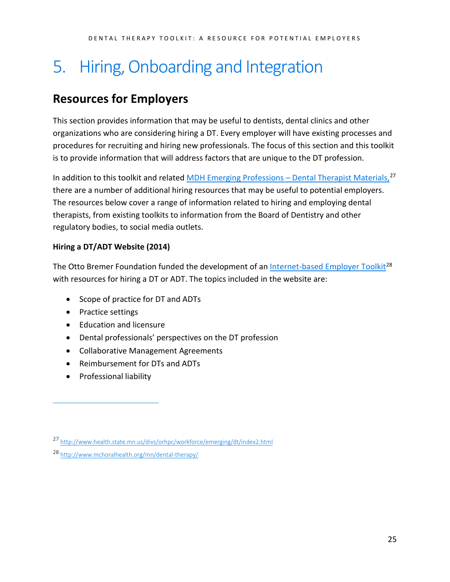## <span id="page-24-0"></span>5. Hiring, Onboarding and Integration

## <span id="page-24-1"></span>**Resources for Employers**

This section provides information that may be useful to dentists, dental clinics and other organizations who are considering hiring a DT. Every employer will have existing processes and procedures for recruiting and hiring new professionals. The focus of this section and this toolkit is to provide information that will address factors that are unique to the DT profession.

In addition to this toolkit and related [MDH Emerging Professions –](http://www.health.state.mn.us/divs/orhpc/workforce/emerging/dt/index2.html) Dental Therapist Materials,<sup>[27](#page-24-2)</sup> there are a number of additional hiring resources that may be useful to potential employers. The resources below cover a range of information related to hiring and employing dental therapists, from existing toolkits to information from the Board of Dentistry and other regulatory bodies, to social media outlets.

### **Hiring a DT/ADT Website (2014)**

The Otto Bremer Foundation funded the development of an Internet-based [Employer Toolkit](http://www.mchoralhealth.org/mn/dental-therapy/)<sup>[28](#page-24-3)</sup> with resources for hiring a DT or ADT. The topics included in the website are:

- Scope of practice for DT and ADTs
- Practice settings
- Education and licensure
- Dental professionals' perspectives on the DT profession
- Collaborative Management Agreements
- Reimbursement for DTs and ADTs
- Professional liability

<span id="page-24-2"></span><sup>27</sup> <http://www.health.state.mn.us/divs/orhpc/workforce/emerging/dt/index2.html>

<span id="page-24-3"></span><sup>28</sup> <http://www.mchoralhealth.org/mn/dental-therapy/>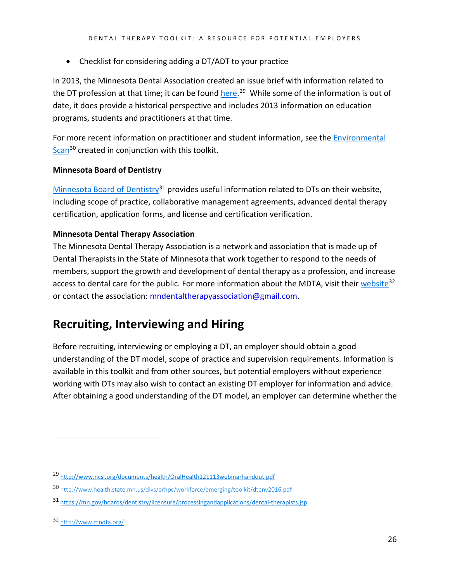• Checklist for considering adding a DT/ADT to your practice

In 2013, the Minnesota Dental Association created an issue brief with information related to the DT profession at that time; it can be found *here*.<sup>[29](#page-25-1)</sup> While some of the information is out of date, it does provide a historical perspective and includes 2013 information on education programs, students and practitioners at that time.

For more recent information on practitioner and student information, see the [Environmental](http://www.health.state.mn.us/divs/orhpc/workforce/emerging/toolkit/dtenv2016.pdf)  [Scan](http://www.health.state.mn.us/divs/orhpc/workforce/emerging/toolkit/dtenv2016.pdf)<sup>[30](#page-25-2)</sup> created in conjunction with this toolkit.

### **Minnesota Board of Dentistry**

[Minnesota Board of Dentistry](https://mn.gov/boards/dentistry/licensure/processingandapplications/dental-therapists.jsp)<sup>[31](#page-25-3)</sup> provides useful information related to DTs on their website, including scope of practice, collaborative management agreements, advanced dental therapy certification, application forms, and license and certification verification.

### **Minnesota Dental Therapy Association**

The Minnesota Dental Therapy Association is a network and association that is made up of Dental Therapists in the State of Minnesota that work together to respond to the needs of members, support the growth and development of dental therapy as a profession, and increase access to dental care for the public. For more information about the MDTA, visit thei[r website](http://www.mndta.org/)<sup>[32](#page-25-4)</sup> or contact the association: mndentaltherapyassociation@gmail.com.

### <span id="page-25-0"></span>**Recruiting, Interviewing and Hiring**

Before recruiting, interviewing or employing a DT, an employer should obtain a good understanding of the DT model, scope of practice and supervision requirements. Information is available in this toolkit and from other sources, but potential employers without experience working with DTs may also wish to contact an existing DT employer for information and advice. After obtaining a good understanding of the DT model, an employer can determine whether the

<span id="page-25-1"></span><sup>29</sup> <http://www.ncsl.org/documents/health/OralHealth121113webinarhandout.pdf>

<span id="page-25-2"></span><sup>30</sup> <http://www.health.state.mn.us/divs/orhpc/workforce/emerging/toolkit/dtenv2016.pdf>

<span id="page-25-3"></span><sup>31</sup> <https://mn.gov/boards/dentistry/licensure/processingandapplications/dental-therapists.jsp>

<span id="page-25-4"></span><sup>32</sup> <http://www.mndta.org/>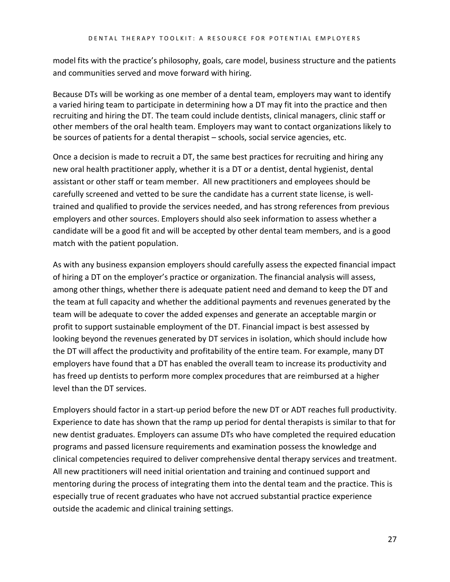model fits with the practice's philosophy, goals, care model, business structure and the patients and communities served and move forward with hiring.

Because DTs will be working as one member of a dental team, employers may want to identify a varied hiring team to participate in determining how a DT may fit into the practice and then recruiting and hiring the DT. The team could include dentists, clinical managers, clinic staff or other members of the oral health team. Employers may want to contact organizations likely to be sources of patients for a dental therapist – schools, social service agencies, etc.

Once a decision is made to recruit a DT, the same best practices for recruiting and hiring any new oral health practitioner apply, whether it is a DT or a dentist, dental hygienist, dental assistant or other staff or team member. All new practitioners and employees should be carefully screened and vetted to be sure the candidate has a current state license, is welltrained and qualified to provide the services needed, and has strong references from previous employers and other sources. Employers should also seek information to assess whether a candidate will be a good fit and will be accepted by other dental team members, and is a good match with the patient population.

As with any business expansion employers should carefully assess the expected financial impact of hiring a DT on the employer's practice or organization. The financial analysis will assess, among other things, whether there is adequate patient need and demand to keep the DT and the team at full capacity and whether the additional payments and revenues generated by the team will be adequate to cover the added expenses and generate an acceptable margin or profit to support sustainable employment of the DT. Financial impact is best assessed by looking beyond the revenues generated by DT services in isolation, which should include how the DT will affect the productivity and profitability of the entire team. For example, many DT employers have found that a DT has enabled the overall team to increase its productivity and has freed up dentists to perform more complex procedures that are reimbursed at a higher level than the DT services.

Employers should factor in a start-up period before the new DT or ADT reaches full productivity. Experience to date has shown that the ramp up period for dental therapists is similar to that for new dentist graduates. Employers can assume DTs who have completed the required education programs and passed licensure requirements and examination possess the knowledge and clinical competencies required to deliver comprehensive dental therapy services and treatment. All new practitioners will need initial orientation and training and continued support and mentoring during the process of integrating them into the dental team and the practice. This is especially true of recent graduates who have not accrued substantial practice experience outside the academic and clinical training settings.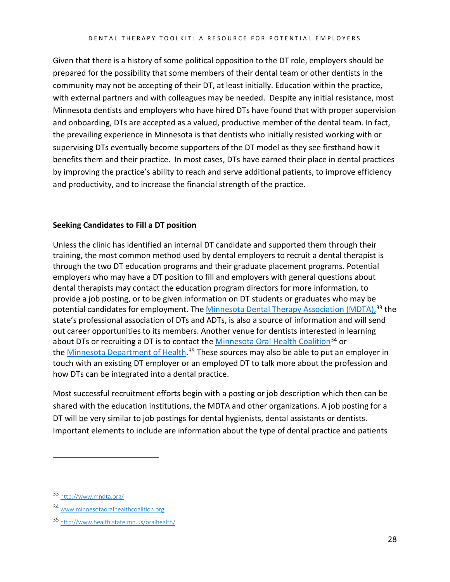Given that there is a history of some political opposition to the DT role, employers should be prepared for the possibility that some members of their dental team or other dentists in the community may not be accepting of their DT, at least initially. Education within the practice, with external partners and with colleagues may be needed. Despite any initial resistance, most Minnesota dentists and employers who have hired DTs have found that with proper supervision and onboarding, DTs are accepted as a valued, productive member of the dental team. In fact, the prevailing experience in Minnesota is that dentists who initially resisted working with or supervising DTs eventually become supporters of the DT model as they see firsthand how it benefits them and their practice. In most cases, DTs have earned their place in dental practices by improving the practice's ability to reach and serve additional patients, to improve efficiency and productivity, and to increase the financial strength of the practice.

### **Seeking Candidates to Fill a DT position**

Unless the clinic has identified an internal DT candidate and supported them through their training, the most common method used by dental employers to recruit a dental therapist is through the two DT education programs and their graduate placement programs. Potential employers who may have a DT position to fill and employers with general questions about dental therapists may contact the education program directors for more information, to provide a job posting, or to be given information on DT students or graduates who may be potential candidates for employment. The [Minnesota Dental Therapy Association](http://www.mndta.org/) (MDTA),<sup>[33](#page-27-0)</sup> the state's professional association of DTs and ADTs, is also a source of information and will send out career opportunities to its members. Another venue for dentists interested in learning about DTs or recruiting a DT is to contact the [Minnesota Oral Health Coalition](http://www.minnesotaoralhealthcoalition.org/)<sup>[34](#page-27-1)</sup> or the <u>Minnesota Department of Health</u>.<sup>[35](#page-27-2)</sup> These sources may also be able to put an employer in touch with an existing DT employer or an employed DT to talk more about the profession and how DTs can be integrated into a dental practice.

Most successful recruitment efforts begin with a posting or job description which then can be shared with the education institutions, the MDTA and other organizations. A job posting for a DT will be very similar to job postings for dental hygienists, dental assistants or dentists. Important elements to include are information about the type of dental practice and patients

<span id="page-27-0"></span><sup>33</sup> <http://www.mndta.org/>

<span id="page-27-1"></span><sup>34</sup> [www.minnesotaoralhealthcoalition.org](http://www.minnesotaoralhealthcoalition.org/)

<span id="page-27-2"></span><sup>35</sup> <http://www.health.state.mn.us/oralhealth/>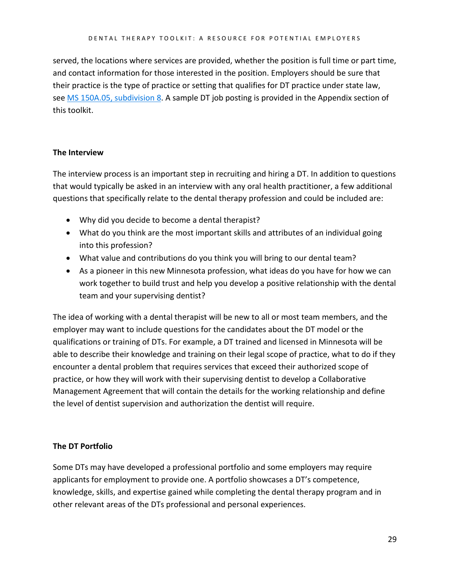served, the locations where services are provided, whether the position is full time or part time, and contact information for those interested in the position. Employers should be sure that their practice is the type of practice or setting that qualifies for DT practice under state law, see [MS 150A.05, subdivision 8.](https://www.revisor.mn.gov/statutes?id=150A.105) A sample DT job posting is provided in the Appendix section of this toolkit.

### **The Interview**

The interview process is an important step in recruiting and hiring a DT. In addition to questions that would typically be asked in an interview with any oral health practitioner, a few additional questions that specifically relate to the dental therapy profession and could be included are:

- Why did you decide to become a dental therapist?
- What do you think are the most important skills and attributes of an individual going into this profession?
- What value and contributions do you think you will bring to our dental team?
- As a pioneer in this new Minnesota profession, what ideas do you have for how we can work together to build trust and help you develop a positive relationship with the dental team and your supervising dentist?

The idea of working with a dental therapist will be new to all or most team members, and the employer may want to include questions for the candidates about the DT model or the qualifications or training of DTs. For example, a DT trained and licensed in Minnesota will be able to describe their knowledge and training on their legal scope of practice, what to do if they encounter a dental problem that requires services that exceed their authorized scope of practice, or how they will work with their supervising dentist to develop a Collaborative Management Agreement that will contain the details for the working relationship and define the level of dentist supervision and authorization the dentist will require.

### **The DT Portfolio**

Some DTs may have developed a professional portfolio and some employers may require applicants for employment to provide one. A portfolio showcases a DT's competence, knowledge, skills, and expertise gained while completing the dental therapy program and in other relevant areas of the DTs professional and personal experiences.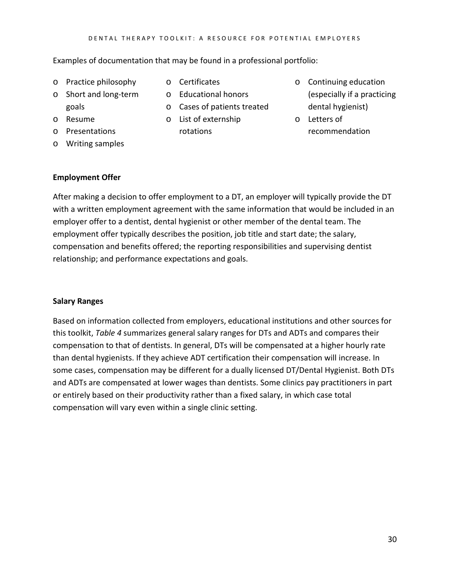Examples of documentation that may be found in a professional portfolio:

- o Practice philosophy
- o Certificates
- o Short and long-term goals
- o Resume
- o Presentations
- o Writing samples
- 
- o Educational honors
- o Cases of patients treated
- o List of externship rotations
- o Continuing education (especially if a practicing dental hygienist)
- o Letters of recommendation

### **Employment Offer**

After making a decision to offer employment to a DT, an employer will typically provide the DT with a written employment agreement with the same information that would be included in an employer offer to a dentist, dental hygienist or other member of the dental team. The employment offer typically describes the position, job title and start date; the salary, compensation and benefits offered; the reporting responsibilities and supervising dentist relationship; and performance expectations and goals.

### **Salary Ranges**

Based on information collected from employers, educational institutions and other sources for this toolkit, *Table 4* summarizes general salary ranges for DTs and ADTs and compares their compensation to that of dentists. In general, DTs will be compensated at a higher hourly rate than dental hygienists. If they achieve ADT certification their compensation will increase. In some cases, compensation may be different for a dually licensed DT/Dental Hygienist. Both DTs and ADTs are compensated at lower wages than dentists. Some clinics pay practitioners in part or entirely based on their productivity rather than a fixed salary, in which case total compensation will vary even within a single clinic setting.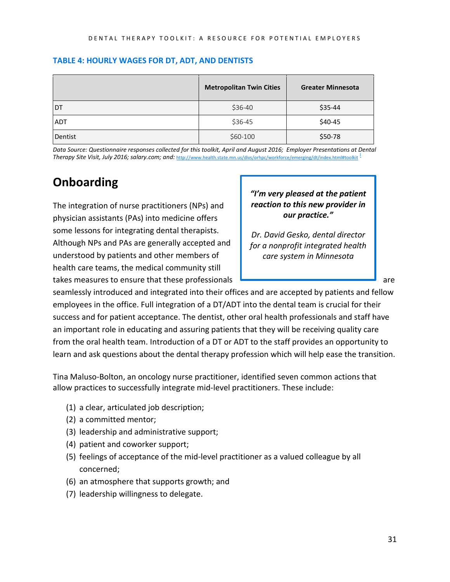|            | <b>Metropolitan Twin Cities</b> | <b>Greater Minnesota</b> |
|------------|---------------------------------|--------------------------|
| <b>DT</b>  | \$36-40                         | \$35-44                  |
| <b>ADT</b> | \$36-45                         | \$40-45                  |
| Dentist    | $$60-100$                       | \$50-78                  |

#### **TABLE 4: HOURLY WAGES FOR DT, ADT, AND DENTISTS**

<span id="page-30-0"></span>*Data Source: Questionnaire responses collected for this toolkit, April and August 2016; Employer Presentations at Dental*  Therapy Site Visit, July 2016; salary.com; and: <http://www.health.state.mn.us/divs/orhpc/workforce/emerging/dt/index.html#toolkit> <sup>1</sup>

## **Onboarding**

The integration of nurse practitioners (NPs) and physician assistants (PAs) into medicine offers some lessons for integrating dental therapists. Although NPs and PAs are generally accepted and understood by patients and other members of health care teams, the medical community still takes measures to ensure that these professionals **contained and are are are all that the entity** are

### *"I'm very pleased at the patient reaction to this new provider in our practice."*

*Dr. David Gesko, dental director for a nonprofit integrated health care system in Minnesota*

seamlessly introduced and integrated into their offices and are accepted by patients and fellow employees in the office. Full integration of a DT/ADT into the dental team is crucial for their success and for patient acceptance. The dentist, other oral health professionals and staff have an important role in educating and assuring patients that they will be receiving quality care from the oral health team. Introduction of a DT or ADT to the staff provides an opportunity to learn and ask questions about the dental therapy profession which will help ease the transition.

Tina Maluso-Bolton, an oncology nurse practitioner, identified seven common actions that allow practices to successfully integrate mid-level practitioners. These include:

- (1) a clear, articulated job description;
- (2) a committed mentor;
- (3) leadership and administrative support;
- (4) patient and coworker support;
- (5) feelings of acceptance of the mid-level practitioner as a valued colleague by all concerned;
- (6) an atmosphere that supports growth; and
- (7) leadership willingness to delegate.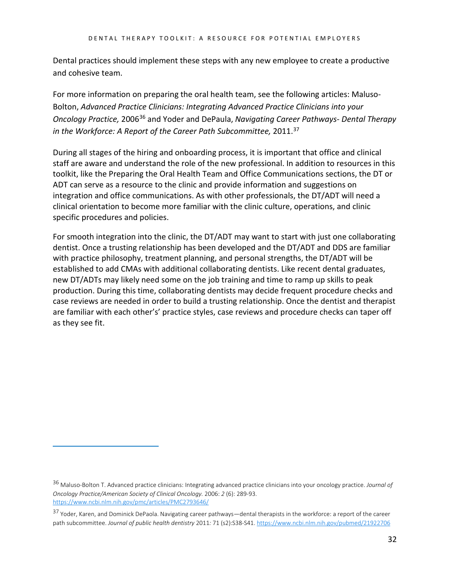Dental practices should implement these steps with any new employee to create a productive and cohesive team.

For more information on preparing the oral health team, see the following articles: Maluso-Bolton, *Advanced Practice Clinicians: Integrating Advanced Practice Clinicians into your Oncology Practice,* 2006[36](#page-31-0) and Yoder and DePaula, *Navigating Career Pathways- Dental Therapy in the Workforce: A Report of the Career Path Subcommittee,* 2011.[37](#page-31-1)

During all stages of the hiring and onboarding process, it is important that office and clinical staff are aware and understand the role of the new professional. In addition to resources in this toolkit, like the Preparing the Oral Health Team and Office Communications sections, the DT or ADT can serve as a resource to the clinic and provide information and suggestions on integration and office communications. As with other professionals, the DT/ADT will need a clinical orientation to become more familiar with the clinic culture, operations, and clinic specific procedures and policies.

For smooth integration into the clinic, the DT/ADT may want to start with just one collaborating dentist. Once a trusting relationship has been developed and the DT/ADT and DDS are familiar with practice philosophy, treatment planning, and personal strengths, the DT/ADT will be established to add CMAs with additional collaborating dentists. Like recent dental graduates, new DT/ADTs may likely need some on the job training and time to ramp up skills to peak production. During this time, collaborating dentists may decide frequent procedure checks and case reviews are needed in order to build a trusting relationship. Once the dentist and therapist are familiar with each other's' practice styles, case reviews and procedure checks can taper off as they see fit.

<span id="page-31-0"></span><sup>36</sup> Maluso-Bolton T. Advanced practice clinicians: Integrating advanced practice clinicians into your oncology practice. *Journal of Oncology Practice/American Society of Clinical Oncology.* 2006: *2* (6): 289-93. <https://www.ncbi.nlm.nih.gov/pmc/articles/PMC2793646/>

<span id="page-31-1"></span><sup>37</sup> Yoder, Karen, and Dominick DePaola. Navigating career pathways—dental therapists in the workforce: a report of the career path subcommittee. *Journal of public health dentistry* 2011*:* 71 (s2):S38-S41[. https://www.ncbi.nlm.nih.gov/pubmed/21922706](https://www.ncbi.nlm.nih.gov/pubmed/21922706)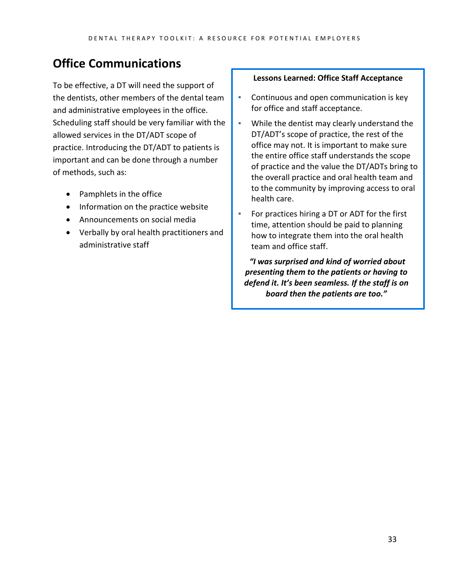## <span id="page-32-0"></span>**Office Communications**

To be effective, a DT will need the support of the dentists, other members of the dental team and administrative employees in the office. Scheduling staff should be very familiar with the allowed services in the DT/ADT scope of practice. Introducing the DT/ADT to patients is important and can be done through a number of methods, such as:

- Pamphlets in the office
- Information on the practice website
- Announcements on social media
- Verbally by oral health practitioners and administrative staff

#### **Lessons Learned: Office Staff Acceptance**

- **Continuous and open communication is key** for office and staff acceptance.
- **•** While the dentist may clearly understand the DT/ADT's scope of practice, the rest of the office may not. It is important to make sure the entire office staff understands the scope of practice and the value the DT/ADTs bring to the overall practice and oral health team and to the community by improving access to oral health care.
- For practices hiring a DT or ADT for the first time, attention should be paid to planning how to integrate them into the oral health team and office staff.

*"I was surprised and kind of worried about presenting them to the patients or having to defend it. It's been seamless. If the staff is on board then the patients are too."*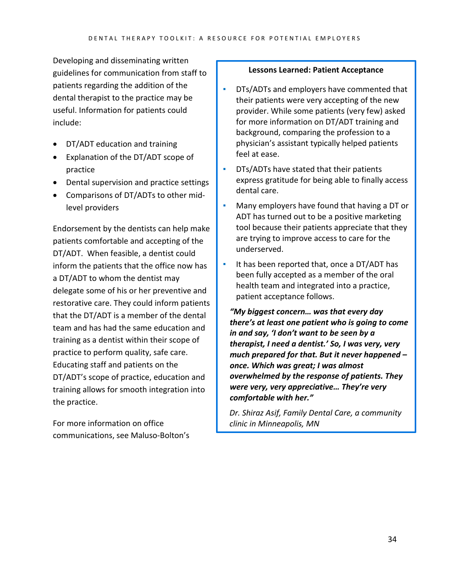Developing and disseminating written guidelines for communication from staff to patients regarding the addition of the dental therapist to the practice may be useful. Information for patients could include:

- DT/ADT education and training
- Explanation of the DT/ADT scope of practice
- Dental supervision and practice settings
- Comparisons of DT/ADTs to other midlevel providers

Endorsement by the dentists can help make patients comfortable and accepting of the DT/ADT. When feasible, a dentist could inform the patients that the office now has a DT/ADT to whom the dentist may delegate some of his or her preventive and restorative care. They could inform patients that the DT/ADT is a member of the dental team and has had the same education and training as a dentist within their scope of practice to perform quality, safe care. Educating staff and patients on the DT/ADT's scope of practice, education and training allows for smooth integration into the practice.

For more information on office communications, see Maluso-Bolton's

#### **Lessons Learned: Patient Acceptance**

- **DTs/ADTs and employers have commented that** their patients were very accepting of the new provider. While some patients (very few) asked for more information on DT/ADT training and background, comparing the profession to a physician's assistant typically helped patients feel at ease.
- **DTs/ADTs have stated that their patients** express gratitude for being able to finally access dental care.
- Many employers have found that having a DT or ADT has turned out to be a positive marketing tool because their patients appreciate that they are trying to improve access to care for the underserved.
- It has been reported that, once a DT/ADT has been fully accepted as a member of the oral health team and integrated into a practice, patient acceptance follows.

*"My biggest concern… was that every day there's at least one patient who is going to come in and say, 'I don't want to be seen by a therapist, I need a dentist.' So, I was very, very much prepared for that. But it never happened – once. Which was great; I was almost overwhelmed by the response of patients. They were very, very appreciative… They're very comfortable with her."*

*Dr. Shiraz Asif, Family Dental Care, a community clinic in Minneapolis, MN*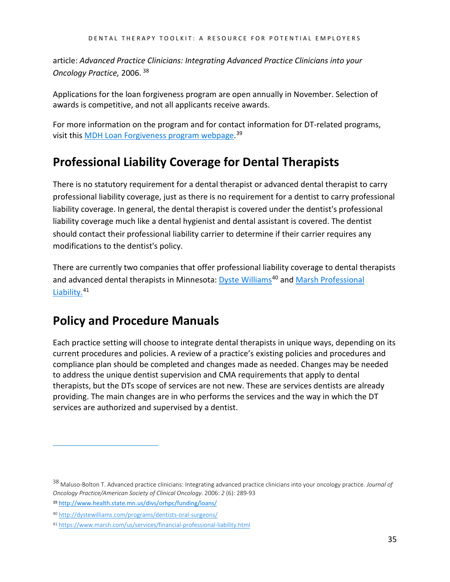article: *Advanced Practice Clinicians: Integrating Advanced Practice Clinicians into your Oncology Practice,* 2006. [38](#page-34-2)

Applications for the loan forgiveness program are open annually in November. Selection of awards is competitive, and not all applicants receive awards.

For more information on the program and for contact information for DT-related programs, visit this <u>MDH Loan Forgiveness program webpage</u>.<sup>[39](#page-34-3)</sup>

## <span id="page-34-0"></span>**Professional Liability Coverage for Dental Therapists**

There is no statutory requirement for a dental therapist or advanced dental therapist to carry professional liability coverage, just as there is no requirement for a dentist to carry professional liability coverage. In general, the dental therapist is covered under the dentist's professional liability coverage much like a dental hygienist and dental assistant is covered. The dentist should contact their professional liability carrier to determine if their carrier requires any modifications to the dentist's policy.

There are currently two companies that offer professional liability coverage to dental therapists and advanced dental therapists in Minnesota: [Dyste Williams](http://dystewilliams.com/programs/dentists-oral-surgeons/)<sup>[40](#page-34-4)</sup> and Marsh Professional [Liability.](https://www.marsh.com/us/services/financial-professional-liability.html)<sup>[41](#page-34-5)</sup>

## <span id="page-34-1"></span>**Policy and Procedure Manuals**

Each practice setting will choose to integrate dental therapists in unique ways, depending on its current procedures and policies. A review of a practice's existing policies and procedures and compliance plan should be completed and changes made as needed. Changes may be needed to address the unique dentist supervision and CMA requirements that apply to dental therapists, but the DTs scope of services are not new. These are services dentists are already providing. The main changes are in who performs the services and the way in which the DT services are authorized and supervised by a dentist.

<span id="page-34-2"></span><sup>38</sup> Maluso-Bolton T. Advanced practice clinicians: Integrating advanced practice clinicians into your oncology practice. *Journal of Oncology Practice/American Society of Clinical Oncology.* 2006: *2* (6): 289-93

<span id="page-34-3"></span><sup>39</sup> <http://www.health.state.mn.us/divs/orhpc/funding/loans/>

<span id="page-34-4"></span><sup>40</sup> <http://dystewilliams.com/programs/dentists-oral-surgeons/>

<span id="page-34-5"></span><sup>41</sup> <https://www.marsh.com/us/services/financial-professional-liability.html>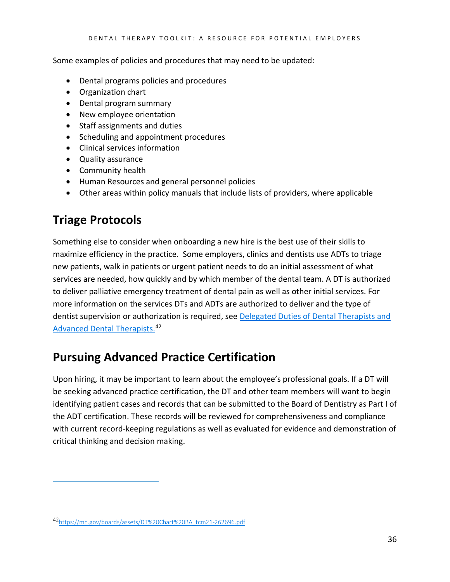Some examples of policies and procedures that may need to be updated:

- Dental programs policies and procedures
- Organization chart
- Dental program summary
- New employee orientation
- Staff assignments and duties
- Scheduling and appointment procedures
- Clinical services information
- Quality assurance
- Community health
- Human Resources and general personnel policies
- Other areas within policy manuals that include lists of providers, where applicable

## <span id="page-35-0"></span>**Triage Protocols**

 $\overline{a}$ 

Something else to consider when onboarding a new hire is the best use of their skills to maximize efficiency in the practice. Some employers, clinics and dentists use ADTs to triage new patients, walk in patients or urgent patient needs to do an initial assessment of what services are needed, how quickly and by which member of the dental team. A DT is authorized to deliver palliative emergency treatment of dental pain as well as other initial services. For more information on the services DTs and ADTs are authorized to deliver and the type of dentist supervision or authorization is required, see [Delegated Duties of Dental Therapists and](https://mn.gov/boards/assets/DT%20Chart%20BA_tcm21-262696.pdf)  [Advanced Dental Therapists.](https://mn.gov/boards/assets/DT%20Chart%20BA_tcm21-262696.pdf)<sup>[42](#page-35-2)</sup>

## <span id="page-35-1"></span>**Pursuing Advanced Practice Certification**

Upon hiring, it may be important to learn about the employee's professional goals. If a DT will be seeking advanced practice certification, the DT and other team members will want to begin identifying patient cases and records that can be submitted to the Board of Dentistry as Part I of the ADT certification. These records will be reviewed for comprehensiveness and compliance with current record-keeping regulations as well as evaluated for evidence and demonstration of critical thinking and decision making.

<span id="page-35-2"></span><sup>4</sup>[2https://mn.gov/boards/assets/DT%20Chart%20BA\\_tcm21-262696.pdf](https://mn.gov/boards/assets/DT%20Chart%20BA_tcm21-262696.pdf)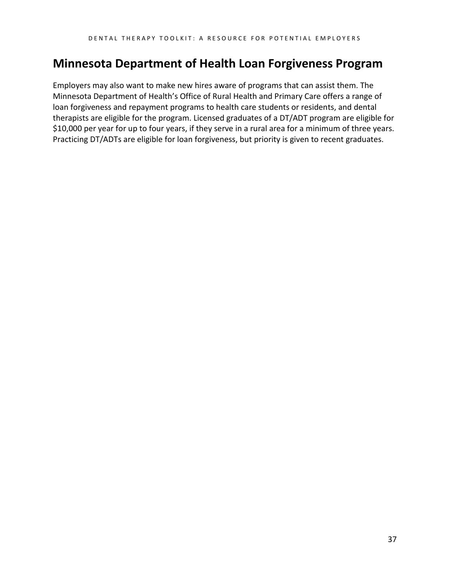## <span id="page-36-0"></span>**Minnesota Department of Health Loan Forgiveness Program**

Employers may also want to make new hires aware of programs that can assist them. The Minnesota Department of Health's Office of Rural Health and Primary Care offers a range of loan forgiveness and repayment programs to health care students or residents, and dental therapists are eligible for the program. Licensed graduates of a DT/ADT program are eligible for \$10,000 per year for up to four years, if they serve in a rural area for a minimum of three years. Practicing DT/ADTs are eligible for loan forgiveness, but priority is given to recent graduates.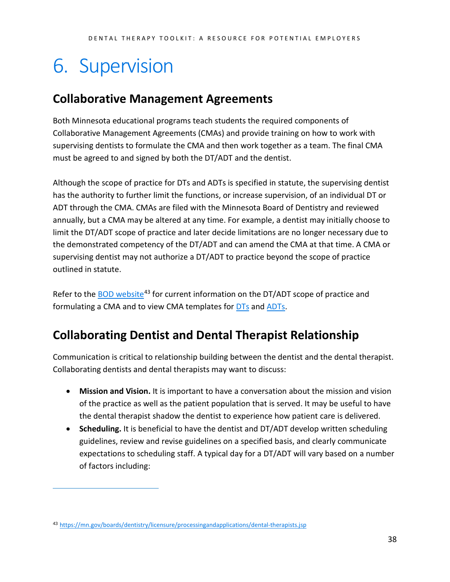# <span id="page-37-0"></span>6. Supervision

## <span id="page-37-1"></span>**Collaborative Management Agreements**

Both Minnesota educational programs teach students the required components of Collaborative Management Agreements (CMAs) and provide training on how to work with supervising dentists to formulate the CMA and then work together as a team. The final CMA must be agreed to and signed by both the DT/ADT and the dentist.

Although the scope of practice for DTs and ADTs is specified in statute, the supervising dentist has the authority to further limit the functions, or increase supervision, of an individual DT or ADT through the CMA. CMAs are filed with the Minnesota Board of Dentistry and reviewed annually, but a CMA may be altered at any time. For example, a dentist may initially choose to limit the DT/ADT scope of practice and later decide limitations are no longer necessary due to the demonstrated competency of the DT/ADT and can amend the CMA at that time. A CMA or supervising dentist may not authorize a DT/ADT to practice beyond the scope of practice outlined in statute.

Refer to the [BOD website](https://mn.gov/boards/dentistry/licensure/processingandapplications/dental-therapists.jsp)<sup>[43](#page-37-3)</sup> for current information on the DT/ADT scope of practice and formulating a CMA and to view CMA templates for [DTs](http://mn.gov/boards/assets/Dental%20Therapist%202_tcm21-46117.pdf) and [ADTs.](http://mn.gov/boards/assets/ADV%20Dental%20Therapist%202_tcm21-46118.pdf)

## <span id="page-37-2"></span>**Collaborating Dentist and Dental Therapist Relationship**

Communication is critical to relationship building between the dentist and the dental therapist. Collaborating dentists and dental therapists may want to discuss:

- **Mission and Vision.** It is important to have a conversation about the mission and vision of the practice as well as the patient population that is served. It may be useful to have the dental therapist shadow the dentist to experience how patient care is delivered.
- **Scheduling.** It is beneficial to have the dentist and DT/ADT develop written scheduling guidelines, review and revise guidelines on a specified basis, and clearly communicate expectations to scheduling staff. A typical day for a DT/ADT will vary based on a number of factors including:

<span id="page-37-3"></span><sup>43</sup> <https://mn.gov/boards/dentistry/licensure/processingandapplications/dental-therapists.jsp>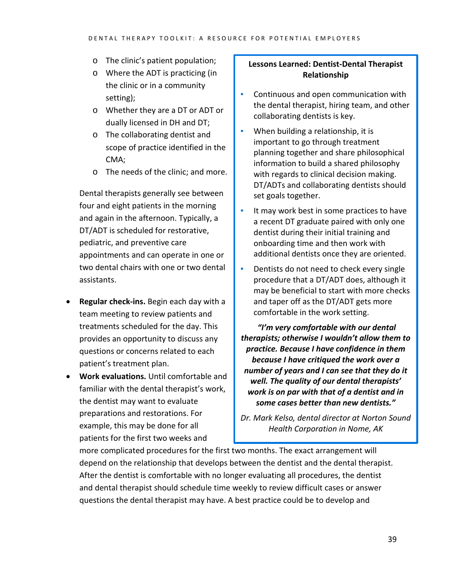- o The clinic's patient population;
- o Where the ADT is practicing (in the clinic or in a community setting);
- o Whether they are a DT or ADT or dually licensed in DH and DT;
- o The collaborating dentist and scope of practice identified in the CMA;
- o The needs of the clinic; and more.

Dental therapists generally see between four and eight patients in the morning and again in the afternoon. Typically, a DT/ADT is scheduled for restorative, pediatric, and preventive care appointments and can operate in one or two dental chairs with one or two dental assistants.

- **Regular check-ins.** Begin each day with a team meeting to review patients and treatments scheduled for the day. This provides an opportunity to discuss any questions or concerns related to each patient's treatment plan.
- **Work evaluations.** Until comfortable and familiar with the dental therapist's work, the dentist may want to evaluate preparations and restorations. For example, this may be done for all patients for the first two weeks and

### **Lessons Learned: Dentist-Dental Therapist Relationship**

- Continuous and open communication with the dental therapist, hiring team, and other collaborating dentists is key.
- **•** When building a relationship, it is important to go through treatment planning together and share philosophical information to build a shared philosophy with regards to clinical decision making. DT/ADTs and collaborating dentists should set goals together.
- It may work best in some practices to have a recent DT graduate paired with only one dentist during their initial training and onboarding time and then work with additional dentists once they are oriented.
- **•** Dentists do not need to check every single procedure that a DT/ADT does, although it may be beneficial to start with more checks and taper off as the DT/ADT gets more comfortable in the work setting.

*"I'm very comfortable with our dental therapists; otherwise I wouldn't allow them to practice. Because I have confidence in them because I have critiqued the work over a number of years and I can see that they do it well. The quality of our dental therapists' work is on par with that of a dentist and in some cases better than new dentists."* 

*Dr. Mark Kelso, dental director at Norton Sound Health Corporation in Nome, AK*

more complicated procedures for the first two months. The exact arrangement will depend on the relationship that develops between the dentist and the dental therapist. After the dentist is comfortable with no longer evaluating all procedures, the dentist and dental therapist should schedule time weekly to review difficult cases or answer questions the dental therapist may have. A best practice could be to develop and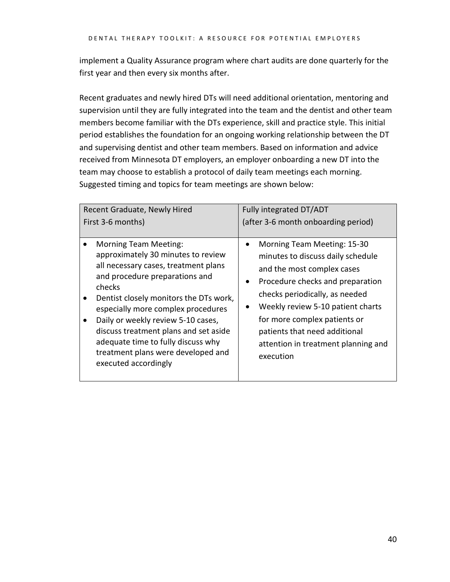implement a Quality Assurance program where chart audits are done quarterly for the first year and then every six months after.

Recent graduates and newly hired DTs will need additional orientation, mentoring and supervision until they are fully integrated into the team and the dentist and other team members become familiar with the DTs experience, skill and practice style. This initial period establishes the foundation for an ongoing working relationship between the DT and supervising dentist and other team members. Based on information and advice received from Minnesota DT employers, an employer onboarding a new DT into the team may choose to establish a protocol of daily team meetings each morning. Suggested timing and topics for team meetings are shown below:

<span id="page-39-0"></span>

| Recent Graduate, Newly Hired<br>First 3-6 months)<br><b>Morning Team Meeting:</b>                                                                                                                                                                                                                                                                                                         | Fully integrated DT/ADT<br>(after 3-6 month onboarding period)<br>Morning Team Meeting: 15-30<br>$\bullet$                                                                                                                                                                                                   |
|-------------------------------------------------------------------------------------------------------------------------------------------------------------------------------------------------------------------------------------------------------------------------------------------------------------------------------------------------------------------------------------------|--------------------------------------------------------------------------------------------------------------------------------------------------------------------------------------------------------------------------------------------------------------------------------------------------------------|
| approximately 30 minutes to review<br>all necessary cases, treatment plans<br>and procedure preparations and<br>checks<br>Dentist closely monitors the DTs work,<br>especially more complex procedures<br>Daily or weekly review 5-10 cases,<br>discuss treatment plans and set aside<br>adequate time to fully discuss why<br>treatment plans were developed and<br>executed accordingly | minutes to discuss daily schedule<br>and the most complex cases<br>Procedure checks and preparation<br>$\bullet$<br>checks periodically, as needed<br>Weekly review 5-10 patient charts<br>for more complex patients or<br>patients that need additional<br>attention in treatment planning and<br>execution |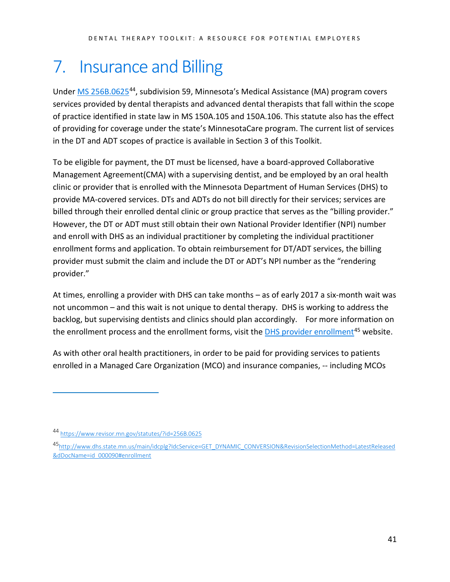## 7. Insurance and Billing

Under [MS 256B.0625](https://www.revisor.mn.gov/statutes/?id=256B.0625)[44](#page-40-0), subdivision 59, Minnesota's Medical Assistance (MA) program covers services provided by dental therapists and advanced dental therapists that fall within the scope of practice identified in state law in MS 150A.105 and 150A.106. This statute also has the effect of providing for coverage under the state's MinnesotaCare program. The current list of services in the DT and ADT scopes of practice is available in Section 3 of this Toolkit.

To be eligible for payment, the DT must be licensed, have a board-approved Collaborative Management Agreement(CMA) with a supervising dentist, and be employed by an oral health clinic or provider that is enrolled with the Minnesota Department of Human Services (DHS) to provide MA-covered services. DTs and ADTs do not bill directly for their services; services are billed through their enrolled dental clinic or group practice that serves as the "billing provider." However, the DT or ADT must still obtain their own National Provider Identifier (NPI) number and enroll with DHS as an individual practitioner by completing the individual practitioner enrollment forms and application. To obtain reimbursement for DT/ADT services, the billing provider must submit the claim and include the DT or ADT's NPI number as the "rendering provider."

At times, enrolling a provider with DHS can take months – as of early 2017 a six-month wait was not uncommon – and this wait is not unique to dental therapy. DHS is working to address the backlog, but supervising dentists and clinics should plan accordingly. For more information on the enrollment process and the enrollment forms, visit the **DHS** provider enrollment<sup>[45](#page-40-1)</sup> website.

As with other oral health practitioners, in order to be paid for providing services to patients enrolled in a Managed Care Organization (MCO) and insurance companies, -- including MCOs

<span id="page-40-0"></span><sup>44</sup> <https://www.revisor.mn.gov/statutes/?id=256B.0625>

<span id="page-40-1"></span><sup>4</sup>[5http://www.dhs.state.mn.us/main/idcplg?IdcService=GET\\_DYNAMIC\\_CONVERSION&RevisionSelectionMethod=LatestReleased](http://www.dhs.state.mn.us/main/idcplg?IdcService=GET_DYNAMIC_CONVERSION&RevisionSelectionMethod=LatestReleased&dDocName=id_000090#enrollment) [&dDocName=id\\_000090#enrollment](http://www.dhs.state.mn.us/main/idcplg?IdcService=GET_DYNAMIC_CONVERSION&RevisionSelectionMethod=LatestReleased&dDocName=id_000090#enrollment)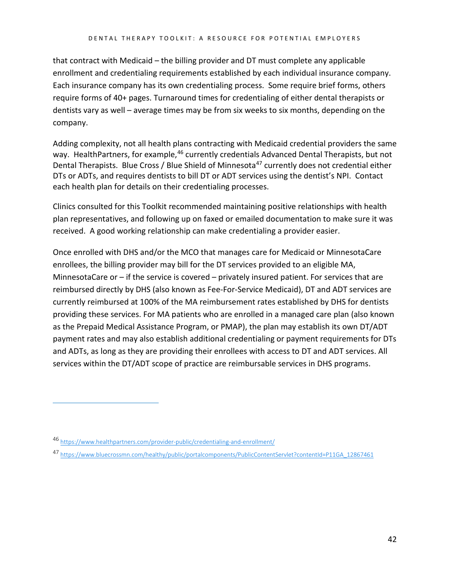that contract with Medicaid – the billing provider and DT must complete any applicable enrollment and credentialing requirements established by each individual insurance company. Each insurance company has its own credentialing process. Some require brief forms, others require forms of 40+ pages. Turnaround times for credentialing of either dental therapists or dentists vary as well – average times may be from six weeks to six months, depending on the company.

Adding complexity, not all health plans contracting with Medicaid credential providers the same way. HealthPartners, for example,<sup>46</sup> currently credentials Advanced Dental Therapists, but not Dental Therapists. Blue Cross / Blue Shield of Minnesota<sup>[47](#page-41-1)</sup> currently does not credential either DTs or ADTs, and requires dentists to bill DT or ADT services using the dentist's NPI. Contact each health plan for details on their credentialing processes.

Clinics consulted for this Toolkit recommended maintaining positive relationships with health plan representatives, and following up on faxed or emailed documentation to make sure it was received. A good working relationship can make credentialing a provider easier.

Once enrolled with DHS and/or the MCO that manages care for Medicaid or MinnesotaCare enrollees, the billing provider may bill for the DT services provided to an eligible MA, MinnesotaCare or – if the service is covered – privately insured patient. For services that are reimbursed directly by DHS (also known as Fee-For-Service Medicaid), DT and ADT services are currently reimbursed at 100% of the MA reimbursement rates established by DHS for dentists providing these services. For MA patients who are enrolled in a managed care plan (also known as the Prepaid Medical Assistance Program, or PMAP), the plan may establish its own DT/ADT payment rates and may also establish additional credentialing or payment requirements for DTs and ADTs, as long as they are providing their enrollees with access to DT and ADT services. All services within the DT/ADT scope of practice are reimbursable services in DHS programs.

<span id="page-41-0"></span><sup>46</sup> <https://www.healthpartners.com/provider-public/credentialing-and-enrollment/>

<span id="page-41-1"></span><sup>47</sup> [https://www.bluecrossmn.com/healthy/public/portalcomponents/PublicContentServlet?contentId=P11GA\\_12867461](https://www.bluecrossmn.com/healthy/public/portalcomponents/PublicContentServlet?contentId=P11GA_12867461)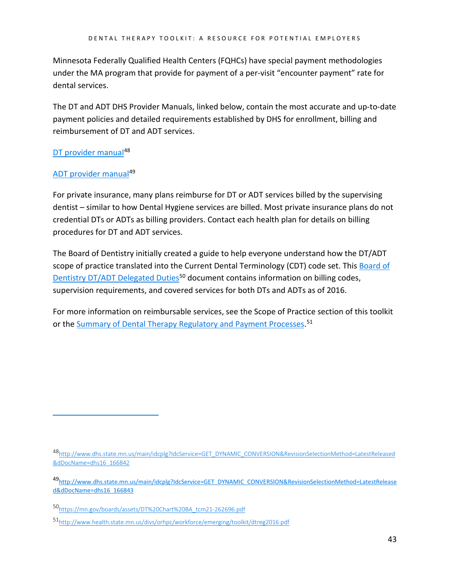Minnesota Federally Qualified Health Centers (FQHCs) have special payment methodologies under the MA program that provide for payment of a per-visit "encounter payment" rate for dental services.

The DT and ADT DHS Provider Manuals, linked below, contain the most accurate and up-to-date payment policies and detailed requirements established by DHS for enrollment, billing and reimbursement of DT and ADT services.

### [DT provider manual](http://www.dhs.state.mn.us/main/idcplg?IdcService=GET_DYNAMIC_CONVERSION&RevisionSelectionMethod=LatestReleased&dDocName=dhs16_166842)<sup>[48](#page-42-0)</sup>

### [ADT provider manual](http://www.dhs.state.mn.us/main/idcplg?IdcService=GET_DYNAMIC_CONVERSION&RevisionSelectionMethod=LatestReleased&dDocName=dhs16_166843)<sup>[49](#page-42-1)</sup>

 $\overline{a}$ 

For private insurance, many plans reimburse for DT or ADT services billed by the supervising dentist – similar to how Dental Hygiene services are billed. Most private insurance plans do not credential DTs or ADTs as billing providers. Contact each health plan for details on billing procedures for DT and ADT services.

The Board of Dentistry initially created a guide to help everyone understand how the DT/ADT scope of practice translated into the Current Dental Terminology (CDT) code set. This Board of [Dentistry DT/ADT Delegated Duties](https://mn.gov/boards/assets/DT%20Chart%20BA_tcm21-262696.pdf)<sup>[50](#page-42-2)</sup> document contains information on billing codes, supervision requirements, and covered services for both DTs and ADTs as of 2016.

For more information on reimbursable services, see the Scope of Practice section of this toolkit or the **Summary of Dental Therapy Regulatory and Payment Processes.**<sup>[51](#page-42-3)</sup>

<span id="page-42-0"></span><sup>4</sup>[8http://www.dhs.state.mn.us/main/idcplg?IdcService=GET\\_DYNAMIC\\_CONVERSION&RevisionSelectionMethod=LatestReleased](http://www.dhs.state.mn.us/main/idcplg?IdcService=GET_DYNAMIC_CONVERSION&RevisionSelectionMethod=LatestReleased&dDocName=dhs16_166842) [&dDocName=dhs16\\_166842](http://www.dhs.state.mn.us/main/idcplg?IdcService=GET_DYNAMIC_CONVERSION&RevisionSelectionMethod=LatestReleased&dDocName=dhs16_166842)

<span id="page-42-1"></span><sup>4</sup>[9http://www.dhs.state.mn.us/main/idcplg?IdcService=GET\\_DYNAMIC\\_CONVERSION&RevisionSelectionMethod=LatestRelease](http://www.dhs.state.mn.us/main/idcplg?IdcService=GET_DYNAMIC_CONVERSION&RevisionSelectionMethod=LatestReleased&dDocName=dhs16_166843) [d&dDocName=dhs16\\_166843](http://www.dhs.state.mn.us/main/idcplg?IdcService=GET_DYNAMIC_CONVERSION&RevisionSelectionMethod=LatestReleased&dDocName=dhs16_166843)

<span id="page-42-2"></span><sup>5</sup>[0https://mn.gov/boards/assets/DT%20Chart%20BA\\_tcm21-262696.pdf](https://mn.gov/boards/assets/DT%20Chart%20BA_tcm21-262696.pdf)

<span id="page-42-3"></span><sup>5</sup>[1http://www.health.state.mn.us/divs/orhpc/workforce/emerging/toolkit/dtreg2016.pdf](http://www.health.state.mn.us/divs/orhpc/workforce/emerging/toolkit/dtreg2016.pdf)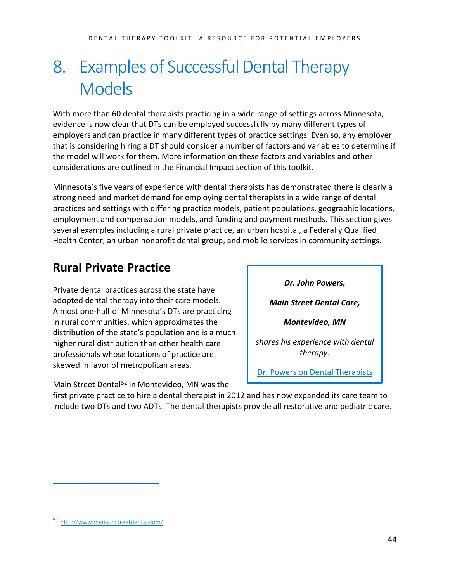## <span id="page-43-0"></span>8. Examples of Successful Dental Therapy Models

With more than 60 dental therapists practicing in a wide range of settings across Minnesota, evidence is now clear that DTs can be employed successfully by many different types of employers and can practice in many different types of practice settings. Even so, any employer that is considering hiring a DT should consider a number of factors and variables to determine if the model will work for them. More information on these factors and variables and other considerations are outlined in the Financial Impact section of this toolkit.

Minnesota's five years of experience with dental therapists has demonstrated there is clearly a strong need and market demand for employing dental therapists in a wide range of dental practices and settings with differing practice models, patient populations, geographic locations, employment and compensation models, and funding and payment methods. This section gives several examples including a rural private practice, an urban hospital, a Federally Qualified Health Center, an urban nonprofit dental group, and mobile services in community settings.

## <span id="page-43-1"></span>**Rural Private Practice**

Private dental practices across the state have adopted dental therapy into their care models. Almost one-half of Minnesota's DTs are practicing in rural communities, which approximates the distribution of the state's population and is a much higher rural distribution than other health care professionals whose locations of practice are skewed in favor of metropolitan areas.

Main Street Dental<sup>[52](#page-43-2)</sup> in Montevideo, MN was the

*Dr. John Powers, Main Street Dental Care, Montevideo, MN shares his experience with dental therapy:* [Dr. Powers on Dental Therapists](https://www.youtube.com/watch?v=fP7M2hRzCrU) 

Ī

first private practice to hire a dental therapist in 2012 a[nd has now expanded its care t](https://www.youtube.com/watch?v=fP7M2hRzCrU)eam to include two DTs and two ADTs. The dental therapists provide all restorative and pediatric care.

<span id="page-43-2"></span><sup>52</sup> <http://www.mymainstreetdental.com/>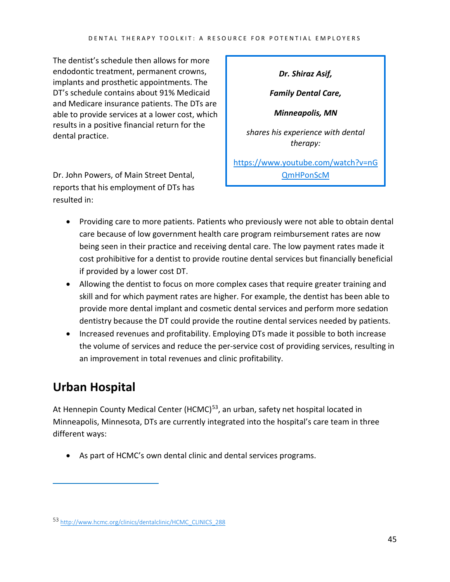The dentist's schedule then allows for more endodontic treatment, permanent crowns, implants and prosthetic appointments. The DT's schedule contains about 91% Medicaid and Medicare insurance patients. The DTs are able to provide services at a lower cost, which results in a positive financial return for the dental practice.

Dr. John Powers, of Main Street Dental, reports that his employment of DTs has resulted in:

*Dr. Shiraz Asif,*

*Family Dental Care,*

*Minneapolis, MN*

*shares his experience with dental therapy:*

[https://www.youtube.com/watch?v=nG](https://www.youtube.com/watch?v=nGQmHPonScM) [QmHPonScM](https://www.youtube.com/watch?v=nGQmHPonScM)

- Providing care to more patients. Patients who previously were not able to obtain dental care because of low government health care program reimbursement rates are now being seen in their practice and receiving dental care. The low payment rates made it cost prohibitive for a dentist to provide routine dental services but financially beneficial if provided by a lower cost DT.
- Allowing the dentist to focus on more complex cases that require greater training and skill and for which payment rates are higher. For example, the dentist has been able to provide more dental implant and cosmetic dental services and perform more sedation dentistry because the DT could provide the routine dental services needed by patients.
- Increased revenues and profitability. Employing DTs made it possible to both increase the volume of services and reduce the per-service cost of providing services, resulting in an improvement in total revenues and clinic profitability.

## <span id="page-44-0"></span>**Urban Hospital**

 $\overline{a}$ 

At Hennepin County Medical Center (HCMC)<sup>53</sup>, an urban, safety net hospital located in Minneapolis, Minnesota, DTs are currently integrated into the hospital's care team in three different ways:

• As part of HCMC's own dental clinic and dental services programs.

<span id="page-44-1"></span><sup>53</sup> [http://www.hcmc.org/clinics/dentalclinic/HCMC\\_CLINICS\\_288](http://www.hcmc.org/clinics/dentalclinic/HCMC_CLINICS_288)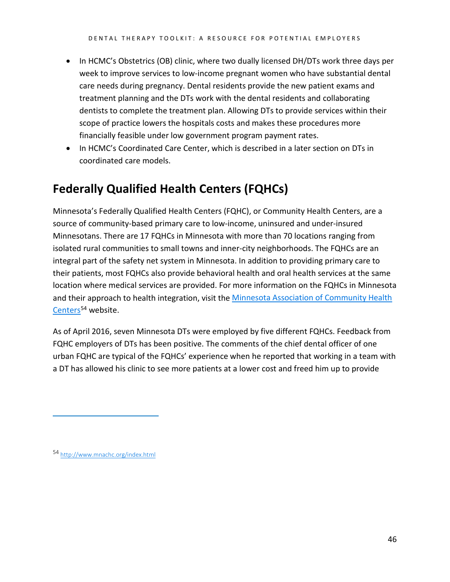- In HCMC's Obstetrics (OB) clinic, where two dually licensed DH/DTs work three days per week to improve services to low-income pregnant women who have substantial dental care needs during pregnancy. Dental residents provide the new patient exams and treatment planning and the DTs work with the dental residents and collaborating dentists to complete the treatment plan. Allowing DTs to provide services within their scope of practice lowers the hospitals costs and makes these procedures more financially feasible under low government program payment rates.
- In HCMC's Coordinated Care Center, which is described in a later section on DTs in coordinated care models.

## <span id="page-45-0"></span>**Federally Qualified Health Centers (FQHCs)**

Minnesota's Federally Qualified Health Centers (FQHC), or Community Health Centers, are a source of community-based primary care to low-income, uninsured and under-insured Minnesotans. There are 17 FQHCs in Minnesota with more than 70 locations ranging from isolated rural communities to small towns and inner-city neighborhoods. The FQHCs are an integral part of the safety net system in Minnesota. In addition to providing primary care to their patients, most FQHCs also provide behavioral health and oral health services at the same location where medical services are provided. For more information on the FQHCs in Minnesota and their approach to health integration, visit th[e Minnesota Association of Community Health](http://www.mnachc.org/index.html)  [Centers](http://www.mnachc.org/index.html)<sup>[54](#page-45-1)</sup> website.

As of April 2016, seven Minnesota DTs were employed by five different FQHCs. Feedback from FQHC employers of DTs has been positive. The comments of the chief dental officer of one urban FQHC are typical of the FQHCs' experience when he reported that working in a team with a DT has allowed his clinic to see more patients at a lower cost and freed him up to provide

<span id="page-45-1"></span><sup>54</sup> <http://www.mnachc.org/index.html>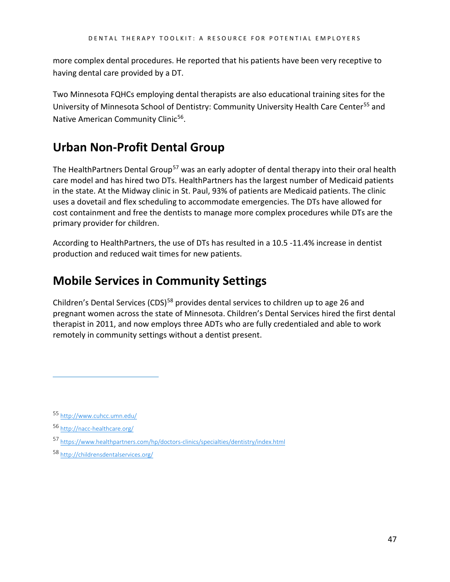more complex dental procedures. He reported that his patients have been very receptive to having dental care provided by a DT.

Two Minnesota FQHCs employing dental therapists are also educational training sites for the University of Minnesota School of Dentistry: Community University Health Care Center[55](#page-46-2) and Native American Community Clinic<sup>56</sup>.

## <span id="page-46-0"></span>**Urban Non-Profit Dental Group**

The HealthPartners Dental Group<sup>[57](#page-46-4)</sup> was an early adopter of dental therapy into their oral health care model and has hired two DTs. HealthPartners has the largest number of Medicaid patients in the state. At the Midway clinic in St. Paul, 93% of patients are Medicaid patients. The clinic uses a dovetail and flex scheduling to accommodate emergencies. The DTs have allowed for cost containment and free the dentists to manage more complex procedures while DTs are the primary provider for children.

According to HealthPartners, the use of DTs has resulted in a 10.5 -11.4% increase in dentist production and reduced wait times for new patients.

## <span id="page-46-1"></span>**Mobile Services in Community Settings**

Children's Dental Services (CDS)<sup>[58](#page-46-5)</sup> provides dental services to children up to age 26 and pregnant women across the state of Minnesota. Children's Dental Services hired the first dental therapist in 2011, and now employs three ADTs who are fully credentialed and able to work remotely in community settings without a dentist present.

<span id="page-46-2"></span><sup>55</sup> <http://www.cuhcc.umn.edu/>

<span id="page-46-3"></span><sup>56</sup> <http://nacc-healthcare.org/>

<span id="page-46-4"></span><sup>57</sup> <https://www.healthpartners.com/hp/doctors-clinics/specialties/dentistry/index.html>

<span id="page-46-5"></span><sup>58</sup> <http://childrensdentalservices.org/>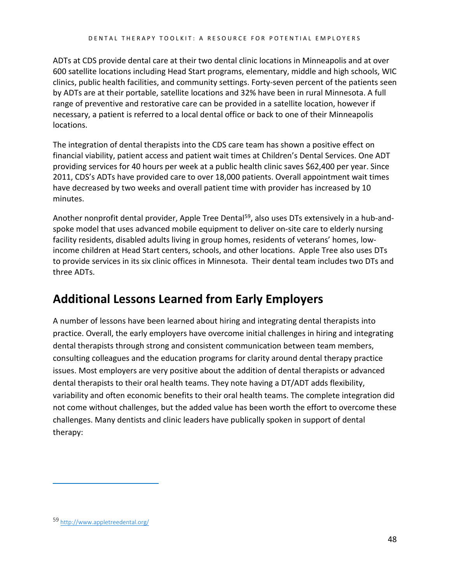ADTs at CDS provide dental care at their two dental clinic locations in Minneapolis and at over 600 satellite locations including Head Start programs, elementary, middle and high schools, WIC clinics, public health facilities, and community settings. Forty-seven percent of the patients seen by ADTs are at their portable, satellite locations and 32% have been in rural Minnesota. A full range of preventive and restorative care can be provided in a satellite location, however if necessary, a patient is referred to a local dental office or back to one of their Minneapolis locations.

The integration of dental therapists into the CDS care team has shown a positive effect on financial viability, patient access and patient wait times at Children's Dental Services. One ADT providing services for 40 hours per week at a public health clinic saves \$62,400 per year. Since 2011, CDS's ADTs have provided care to over 18,000 patients. Overall appointment wait times have decreased by two weeks and overall patient time with provider has increased by 10 minutes.

Another nonprofit dental provider, Apple Tree Dental<sup>[59](#page-47-1)</sup>, also uses DTs extensively in a hub-andspoke model that uses advanced mobile equipment to deliver on-site care to elderly nursing facility residents, disabled adults living in group homes, residents of veterans' homes, lowincome children at Head Start centers, schools, and other locations. Apple Tree also uses DTs to provide services in its six clinic offices in Minnesota. Their dental team includes two DTs and three ADTs.

## <span id="page-47-0"></span>**Additional Lessons Learned from Early Employers**

A number of lessons have been learned about hiring and integrating dental therapists into practice. Overall, the early employers have overcome initial challenges in hiring and integrating dental therapists through strong and consistent communication between team members, consulting colleagues and the education programs for clarity around dental therapy practice issues. Most employers are very positive about the addition of dental therapists or advanced dental therapists to their oral health teams. They note having a DT/ADT adds flexibility, variability and often economic benefits to their oral health teams. The complete integration did not come without challenges, but the added value has been worth the effort to overcome these challenges. Many dentists and clinic leaders have publically spoken in support of dental therapy:

<span id="page-47-1"></span><sup>59</sup> <http://www.appletreedental.org/>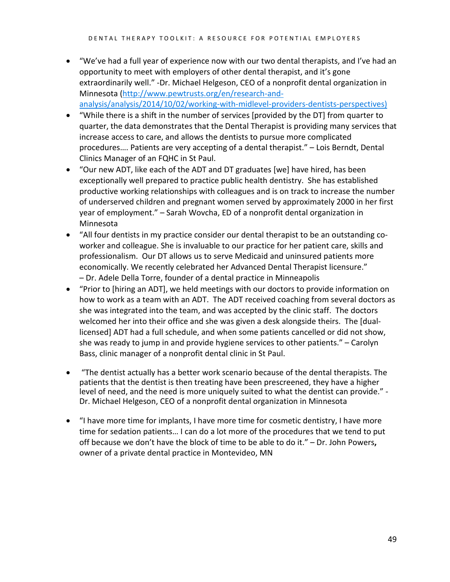- "We've had a full year of experience now with our two dental therapists, and I've had an opportunity to meet with employers of other dental therapist, and it's gone extraordinarily well." -Dr. Michael Helgeson, CEO of a nonprofit dental organization in Minnesota [\(http://www.pewtrusts.org/en/research-and](http://www.pewtrusts.org/en/research-and-analysis/analysis/2014/10/02/working-with-midlevel-providers-dentists-perspectives))[analysis/analysis/2014/10/02/working-with-midlevel-providers-dentists-perspectives\)](http://www.pewtrusts.org/en/research-and-analysis/analysis/2014/10/02/working-with-midlevel-providers-dentists-perspectives))
- "While there is a shift in the number of services [provided by the DT] from quarter to quarter, the data demonstrates that the Dental Therapist is providing many services that increase access to care, and allows the dentists to pursue more complicated procedures…. Patients are very accepting of a dental therapist." – Lois Berndt, Dental Clinics Manager of an FQHC in St Paul.
- "Our new ADT, like each of the ADT and DT graduates [we] have hired, has been exceptionally well prepared to practice public health dentistry. She has established productive working relationships with colleagues and is on track to increase the number of underserved children and pregnant women served by approximately 2000 in her first year of employment." – Sarah Wovcha, ED of a nonprofit dental organization in Minnesota
- "All four dentists in my practice consider our dental therapist to be an outstanding coworker and colleague. She is invaluable to our practice for her patient care, skills and professionalism. Our DT allows us to serve Medicaid and uninsured patients more economically. We recently celebrated her Advanced Dental Therapist licensure." – Dr. Adele Della Torre, founder of a dental practice in Minneapolis
- "Prior to [hiring an ADT], we held meetings with our doctors to provide information on how to work as a team with an ADT. The ADT received coaching from several doctors as she was integrated into the team, and was accepted by the clinic staff. The doctors welcomed her into their office and she was given a desk alongside theirs. The [duallicensed] ADT had a full schedule, and when some patients cancelled or did not show, she was ready to jump in and provide hygiene services to other patients." – Carolyn Bass, clinic manager of a nonprofit dental clinic in St Paul.
- "The dentist actually has a better work scenario because of the dental therapists. The patients that the dentist is then treating have been prescreened, they have a higher level of need, and the need is more uniquely suited to what the dentist can provide." - Dr. Michael Helgeson, CEO of a nonprofit dental organization in Minnesota
- "I have more time for implants, I have more time for cosmetic dentistry, I have more time for sedation patients… I can do a lot more of the procedures that we tend to put off because we don't have the block of time to be able to do it." – Dr. John Powers**,** owner of a private dental practice in Montevideo, MN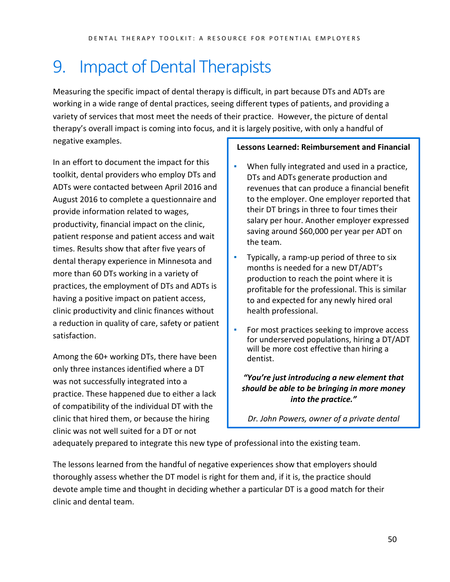## <span id="page-49-0"></span>9. Impact of Dental Therapists

Measuring the specific impact of dental therapy is difficult, in part because DTs and ADTs are working in a wide range of dental practices, seeing different types of patients, and providing a variety of services that most meet the needs of their practice. However, the picture of dental therapy's overall impact is coming into focus, and it is largely positive, with only a handful of negative examples.

In an effort to document the impact for this toolkit, dental providers who employ DTs and ADTs were contacted between April 2016 and August 2016 to complete a questionnaire and provide information related to wages, productivity, financial impact on the clinic, patient response and patient access and wait times. Results show that after five years of dental therapy experience in Minnesota and more than 60 DTs working in a variety of practices, the employment of DTs and ADTs is having a positive impact on patient access, clinic productivity and clinic finances without a reduction in quality of care, safety or patient satisfaction.

Among the 60+ working DTs, there have been only three instances identified where a DT was not successfully integrated into a practice. These happened due to either a lack of compatibility of the individual DT with the clinic that hired them, or because the hiring clinic was not well suited for a DT or not

### **Lessons Learned: Reimbursement and Financial**

- When fully integrated and used in a practice, DTs and ADTs generate production and revenues that can produce a financial benefit to the employer. One employer reported that their DT brings in three to four times their salary per hour. Another employer expressed saving around \$60,000 per year per ADT on the team.
- Typically, a ramp-up period of three to six months is needed for a new DT/ADT's production to reach the point where it is profitable for the professional. This is similar to and expected for any newly hired oral health professional.
- **•** For most practices seeking to improve access for underserved populations, hiring a DT/ADT will be more cost effective than hiring a dentist.

*"You're just introducing a new element that should be able to be bringing in more money into the practice."*

*Dr. John Powers, owner of a private dental* 

adequately prepared to integrate this new type of professional into the existing team.

The lessons learned from the handful of negative experiences show that employers should thoroughly assess whether the DT model is right for them and, if it is, the practice should devote ample time and thought in deciding whether a particular DT is a good match for their clinic and dental team.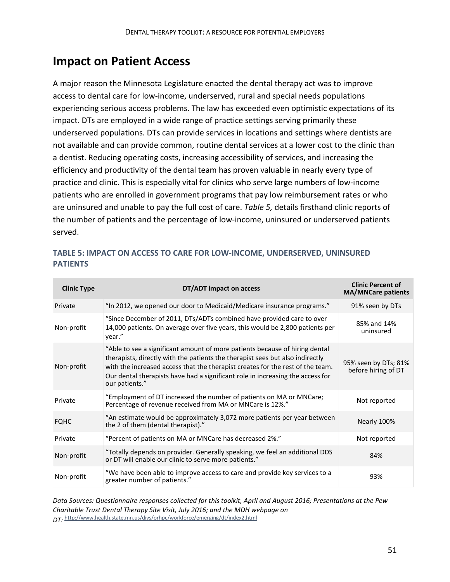## **Impact on Patient Access**

A major reason the Minnesota Legislature enacted the dental therapy act was to improve access to dental care for low-income, underserved, rural and special needs populations experiencing serious access problems. The law has exceeded even optimistic expectations of its impact. DTs are employed in a wide range of practice settings serving primarily these underserved populations. DTs can provide services in locations and settings where dentists are not available and can provide common, routine dental services at a lower cost to the clinic than a dentist. Reducing operating costs, increasing accessibility of services, and increasing the efficiency and productivity of the dental team has proven valuable in nearly every type of practice and clinic. This is especially vital for clinics who serve large numbers of low-income patients who are enrolled in government programs that pay low reimbursement rates or who are uninsured and unable to pay the full cost of care. *Table 5,* details firsthand clinic reports of the number of patients and the percentage of low-income, uninsured or underserved patients served.

| <b>Clinic Type</b> | DT/ADT impact on access                                                                                                                                                                                                                                                                                                                            | <b>Clinic Percent of</b><br><b>MA/MNCare patients</b> |
|--------------------|----------------------------------------------------------------------------------------------------------------------------------------------------------------------------------------------------------------------------------------------------------------------------------------------------------------------------------------------------|-------------------------------------------------------|
| Private            | "In 2012, we opened our door to Medicaid/Medicare insurance programs."                                                                                                                                                                                                                                                                             | 91% seen by DTs                                       |
| Non-profit         | "Since December of 2011, DTs/ADTs combined have provided care to over<br>14,000 patients. On average over five years, this would be 2,800 patients per<br>year."                                                                                                                                                                                   | 85% and 14%<br>uninsured                              |
| Non-profit         | "Able to see a significant amount of more patients because of hiring dental<br>therapists, directly with the patients the therapist sees but also indirectly<br>with the increased access that the therapist creates for the rest of the team.<br>Our dental therapists have had a significant role in increasing the access for<br>our patients." | 95% seen by DTs; 81%<br>before hiring of DT           |
| Private            | "Employment of DT increased the number of patients on MA or MNCare;<br>Percentage of revenue received from MA or MNCare is 12%."                                                                                                                                                                                                                   | Not reported                                          |
| <b>FQHC</b>        | "An estimate would be approximately 3,072 more patients per year between<br>the 2 of them (dental therapist)."                                                                                                                                                                                                                                     | Nearly 100%                                           |
| Private            | "Percent of patients on MA or MNCare has decreased 2%."                                                                                                                                                                                                                                                                                            | Not reported                                          |
| Non-profit         | "Totally depends on provider. Generally speaking, we feel an additional DDS<br>or DT will enable our clinic to serve more patients."                                                                                                                                                                                                               | 84%                                                   |
| Non-profit         | "We have been able to improve access to care and provide key services to a<br>greater number of patients."                                                                                                                                                                                                                                         | 93%                                                   |

### **TABLE 5: IMPACT ON ACCESS TO CARE FOR LOW-INCOME, UNDERSERVED, UNINSURED PATIENTS**

*Data Sources: Questionnaire responses collected for this toolkit, April and August 2016; Presentations at the Pew Charitable Trust Dental Therapy Site Visit, July 2016; and the MDH webpage on DT:* <http://www.health.state.mn.us/divs/orhpc/workforce/emerging/dt/index2.html>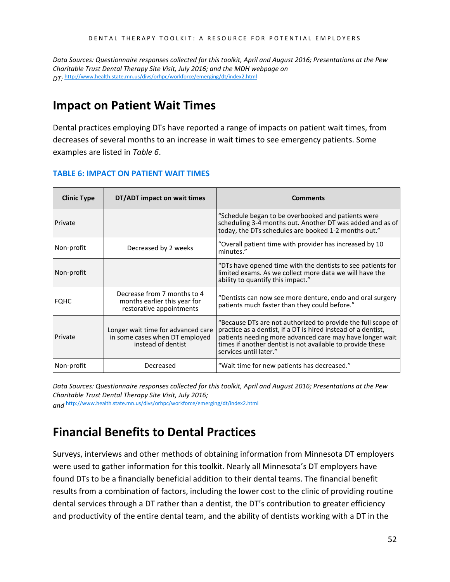*Data Sources: Questionnaire responses collected for this toolkit, April and August 2016; Presentations at the Pew Charitable Trust Dental Therapy Site Visit, July 2016; and the MDH webpage on DT:* <http://www.health.state.mn.us/divs/orhpc/workforce/emerging/dt/index2.html>

### <span id="page-51-0"></span>**Impact on Patient Wait Times**

Dental practices employing DTs have reported a range of impacts on patient wait times, from decreases of several months to an increase in wait times to see emergency patients. Some examples are listed in *Table 6*.

#### **TABLE 6: IMPACT ON PATIENT WAIT TIMES**

| <b>Clinic Type</b> | DT/ADT impact on wait times                                                                | <b>Comments</b>                                                                                                                                                                                                                                                                   |
|--------------------|--------------------------------------------------------------------------------------------|-----------------------------------------------------------------------------------------------------------------------------------------------------------------------------------------------------------------------------------------------------------------------------------|
| Private            |                                                                                            | "Schedule began to be overbooked and patients were<br>scheduling 3-4 months out. Another DT was added and as of<br>today, the DTs schedules are booked 1-2 months out."                                                                                                           |
| Non-profit         | Decreased by 2 weeks                                                                       | "Overall patient time with provider has increased by 10<br>minutes."                                                                                                                                                                                                              |
| Non-profit         |                                                                                            | "DTs have opened time with the dentists to see patients for<br>limited exams. As we collect more data we will have the<br>ability to quantify this impact."                                                                                                                       |
| <b>FQHC</b>        | Decrease from 7 months to 4<br>months earlier this year for<br>restorative appointments    | "Dentists can now see more denture, endo and oral surgery<br>patients much faster than they could before."                                                                                                                                                                        |
| Private            | Longer wait time for advanced care<br>in some cases when DT employed<br>instead of dentist | "Because DTs are not authorized to provide the full scope of<br>practice as a dentist, if a DT is hired instead of a dentist,<br>patients needing more advanced care may have longer wait<br>times if another dentist is not available to provide these<br>services until later." |
| Non-profit         | Decreased                                                                                  | "Wait time for new patients has decreased."                                                                                                                                                                                                                                       |

*Data Sources: Questionnaire responses collected for this toolkit, April and August 2016; Presentations at the Pew Charitable Trust Dental Therapy Site Visit, July 2016;* 

*and* <http://www.health.state.mn.us/divs/orhpc/workforce/emerging/dt/index2.html>

## <span id="page-51-1"></span>**Financial Benefits to Dental Practices**

Surveys, interviews and other methods of obtaining information from Minnesota DT employers were used to gather information for this toolkit. Nearly all Minnesota's DT employers have found DTs to be a financially beneficial addition to their dental teams. The financial benefit results from a combination of factors, including the lower cost to the clinic of providing routine dental services through a DT rather than a dentist, the DT's contribution to greater efficiency and productivity of the entire dental team, and the ability of dentists working with a DT in the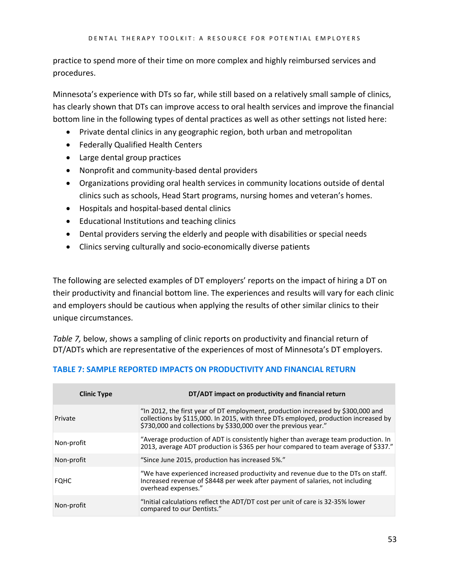practice to spend more of their time on more complex and highly reimbursed services and procedures.

Minnesota's experience with DTs so far, while still based on a relatively small sample of clinics, has clearly shown that DTs can improve access to oral health services and improve the financial bottom line in the following types of dental practices as well as other settings not listed here:

- Private dental clinics in any geographic region, both urban and metropolitan
- Federally Qualified Health Centers
- Large dental group practices
- Nonprofit and community-based dental providers
- Organizations providing oral health services in community locations outside of dental clinics such as schools, Head Start programs, nursing homes and veteran's homes.
- Hospitals and hospital-based dental clinics
- Educational Institutions and teaching clinics
- Dental providers serving the elderly and people with disabilities or special needs
- Clinics serving culturally and socio-economically diverse patients

The following are selected examples of DT employers' reports on the impact of hiring a DT on their productivity and financial bottom line. The experiences and results will vary for each clinic and employers should be cautious when applying the results of other similar clinics to their unique circumstances.

*Table 7,* below, shows a sampling of clinic reports on productivity and financial return of DT/ADTs which are representative of the experiences of most of Minnesota's DT employers.

| <b>Clinic Type</b> | DT/ADT impact on productivity and financial return                                                                                                                                                                                         |
|--------------------|--------------------------------------------------------------------------------------------------------------------------------------------------------------------------------------------------------------------------------------------|
| Private            | "In 2012, the first year of DT employment, production increased by \$300,000 and<br>collections by \$115,000. In 2015, with three DTs employed, production increased by<br>\$730,000 and collections by \$330,000 over the previous year." |
| Non-profit         | "Average production of ADT is consistently higher than average team production. In<br>2013, average ADT production is \$365 per hour compared to team average of \$337."                                                                   |
| Non-profit         | "Since June 2015, production has increased 5%."                                                                                                                                                                                            |
| <b>FOHC</b>        | "We have experienced increased productivity and revenue due to the DTs on staff.<br>Increased revenue of \$8448 per week after payment of salaries, not including<br>overhead expenses."                                                   |
| Non-profit         | "Initial calculations reflect the ADT/DT cost per unit of care is 32-35% lower<br>compared to our Dentists."                                                                                                                               |

### **TABLE 7: SAMPLE REPORTED IMPACTS ON PRODUCTIVITY AND FINANCIAL RETURN**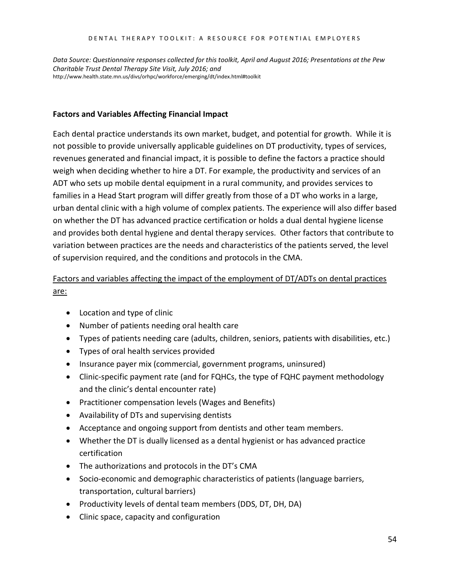#### DENTAL THERAPY TOOLKIT: A RESOURCE FOR POTENTIAL EMPLOYERS

*Data Source: Questionnaire responses collected for this toolkit, April and August 2016; Presentations at the Pew Charitable Trust Dental Therapy Site Visit, July 2016; and*  http://www.health.state.mn.us/divs/orhpc/workforce/emerging/dt/index.html#toolkit

#### **Factors and Variables Affecting Financial Impact**

Each dental practice understands its own market, budget, and potential for growth. While it is not possible to provide universally applicable guidelines on DT productivity, types of services, revenues generated and financial impact, it is possible to define the factors a practice should weigh when deciding whether to hire a DT. For example, the productivity and services of an ADT who sets up mobile dental equipment in a rural community, and provides services to families in a Head Start program will differ greatly from those of a DT who works in a large, urban dental clinic with a high volume of complex patients. The experience will also differ based on whether the DT has advanced practice certification or holds a dual dental hygiene license and provides both dental hygiene and dental therapy services. Other factors that contribute to variation between practices are the needs and characteristics of the patients served, the level of supervision required, and the conditions and protocols in the CMA.

### Factors and variables affecting the impact of the employment of DT/ADTs on dental practices are:

- Location and type of clinic
- Number of patients needing oral health care
- Types of patients needing care (adults, children, seniors, patients with disabilities, etc.)
- Types of oral health services provided
- Insurance payer mix (commercial, government programs, uninsured)
- Clinic-specific payment rate (and for FQHCs, the type of FQHC payment methodology and the clinic's dental encounter rate)
- Practitioner compensation levels (Wages and Benefits)
- Availability of DTs and supervising dentists
- Acceptance and ongoing support from dentists and other team members.
- Whether the DT is dually licensed as a dental hygienist or has advanced practice certification
- The authorizations and protocols in the DT's CMA
- Socio-economic and demographic characteristics of patients (language barriers, transportation, cultural barriers)
- Productivity levels of dental team members (DDS, DT, DH, DA)
- Clinic space, capacity and configuration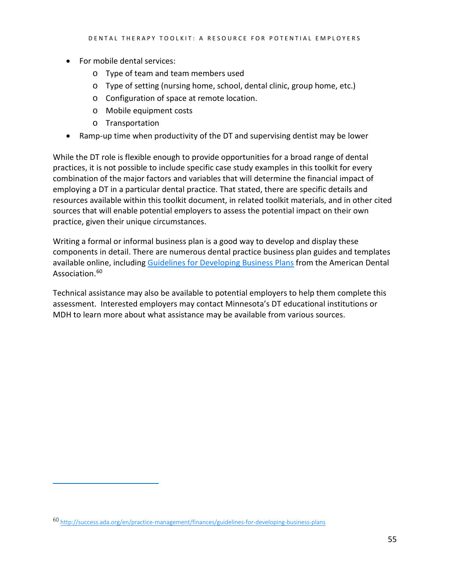- For mobile dental services:
	- o Type of team and team members used
	- o Type of setting (nursing home, school, dental clinic, group home, etc.)
	- o Configuration of space at remote location.
	- o Mobile equipment costs
	- o Transportation
- Ramp-up time when productivity of the DT and supervising dentist may be lower

While the DT role is flexible enough to provide opportunities for a broad range of dental practices, it is not possible to include specific case study examples in this toolkit for every combination of the major factors and variables that will determine the financial impact of employing a DT in a particular dental practice. That stated, there are specific details and resources available within this toolkit document, in related toolkit materials, and in other cited sources that will enable potential employers to assess the potential impact on their own practice, given their unique circumstances.

Writing a formal or informal business plan is a good way to develop and display these components in detail. There are numerous dental practice business plan guides and templates available online, including [Guidelines for Developing Business Plans](http://success.ada.org/en/practice-management/finances/guidelines-for-developing-business-plans) from the American Dental Association.<sup>[60](#page-54-0)</sup>

Technical assistance may also be available to potential employers to help them complete this assessment. Interested employers may contact Minnesota's DT educational institutions or MDH to learn more about what assistance may be available from various sources.

<span id="page-54-0"></span><sup>60</sup> <http://success.ada.org/en/practice-management/finances/guidelines-for-developing-business-plans>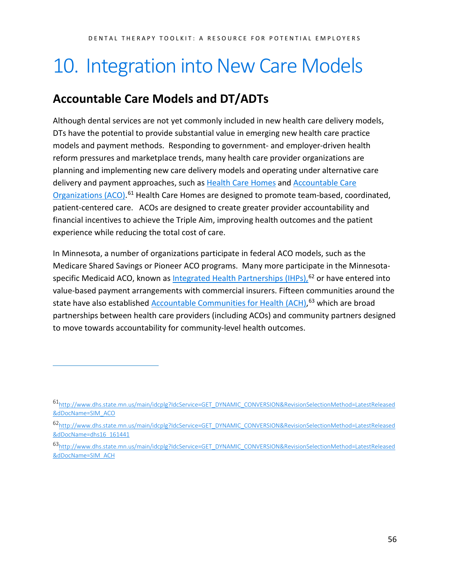# <span id="page-55-0"></span>10. Integration into New Care Models

## <span id="page-55-1"></span>**Accountable Care Models and DT/ADTs**

 $\overline{a}$ 

Although dental services are not yet commonly included in new health care delivery models, DTs have the potential to provide substantial value in emerging new health care practice models and payment methods. Responding to government- and employer-driven health reform pressures and marketplace trends, many health care provider organizations are planning and implementing new care delivery models and operating under alternative care delivery and payment approaches, such as [Health Care Homes](http://www.health.state.mn.us/healthreform/homes/) and [Accountable Care](http://www.dhs.state.mn.us/main/idcplg?IdcService=GET_DYNAMIC_CONVERSION&RevisionSelectionMethod=LatestReleased&dDocName=SIM_ACO)  [Organizations \(ACO\).](http://www.dhs.state.mn.us/main/idcplg?IdcService=GET_DYNAMIC_CONVERSION&RevisionSelectionMethod=LatestReleased&dDocName=SIM_ACO)<sup>[61](#page-55-2)</sup> Health Care Homes are designed to promote team-based, coordinated, patient-centered care. ACOs are designed to create greater provider accountability and financial incentives to achieve the Triple Aim, improving health outcomes and the patient experience while reducing the total cost of care.

In Minnesota, a number of organizations participate in federal ACO models, such as the Medicare Shared Savings or Pioneer ACO programs. Many more participate in the Minnesota-specific Medicaid ACO, known as <u>[Integrated Health Partnerships](http://www.dhs.state.mn.us/main/idcplg?IdcService=GET_DYNAMIC_CONVERSION&RevisionSelectionMethod=LatestReleased&dDocName=dhs16_161441) (IHPs)</u>,<sup>[62](#page-55-3)</sup> or have entered into value-based payment arrangements with commercial insurers. Fifteen communities around the state have also established **Accountable Communities for Health (ACH)**, [63](#page-55-4) which are broad partnerships between health care providers (including ACOs) and community partners designed to move towards accountability for community-level health outcomes.

<span id="page-55-2"></span><sup>6</sup>[1http://www.dhs.state.mn.us/main/idcplg?IdcService=GET\\_DYNAMIC\\_CONVERSION&RevisionSelectionMethod=LatestReleased](http://www.dhs.state.mn.us/main/idcplg?IdcService=GET_DYNAMIC_CONVERSION&RevisionSelectionMethod=LatestReleased&dDocName=SIM_ACO) [&dDocName=SIM\\_ACO](http://www.dhs.state.mn.us/main/idcplg?IdcService=GET_DYNAMIC_CONVERSION&RevisionSelectionMethod=LatestReleased&dDocName=SIM_ACO)

<span id="page-55-3"></span><sup>6</sup>[2http://www.dhs.state.mn.us/main/idcplg?IdcService=GET\\_DYNAMIC\\_CONVERSION&RevisionSelectionMethod=LatestReleased](http://www.dhs.state.mn.us/main/idcplg?IdcService=GET_DYNAMIC_CONVERSION&RevisionSelectionMethod=LatestReleased&dDocName=dhs16_161441) [&dDocName=dhs16\\_161441](http://www.dhs.state.mn.us/main/idcplg?IdcService=GET_DYNAMIC_CONVERSION&RevisionSelectionMethod=LatestReleased&dDocName=dhs16_161441)

<span id="page-55-4"></span><sup>6</sup>[3http://www.dhs.state.mn.us/main/idcplg?IdcService=GET\\_DYNAMIC\\_CONVERSION&RevisionSelectionMethod=LatestReleased](http://www.dhs.state.mn.us/main/idcplg?IdcService=GET_DYNAMIC_CONVERSION&RevisionSelectionMethod=LatestReleased&dDocName=SIM_ACH) [&dDocName=SIM\\_ACH](http://www.dhs.state.mn.us/main/idcplg?IdcService=GET_DYNAMIC_CONVERSION&RevisionSelectionMethod=LatestReleased&dDocName=SIM_ACH)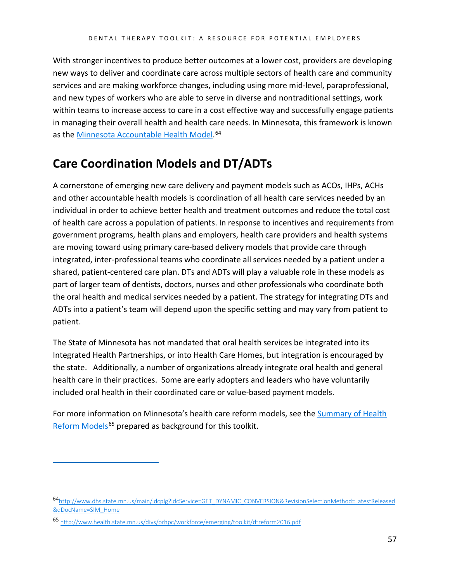With stronger incentives to produce better outcomes at a lower cost, providers are developing new ways to deliver and coordinate care across multiple sectors of health care and community services and are making workforce changes, including using more mid-level, paraprofessional, and new types of workers who are able to serve in diverse and nontraditional settings, work within teams to increase access to care in a cost effective way and successfully engage patients in managing their overall health and health care needs. In Minnesota, this framework is known as the <u>Minnesota Accountable Health Model</u>.<sup>[64](#page-56-1)</sup>

## <span id="page-56-0"></span>**Care Coordination Models and DT/ADTs**

A cornerstone of emerging new care delivery and payment models such as ACOs, IHPs, ACHs and other accountable health models is coordination of all health care services needed by an individual in order to achieve better health and treatment outcomes and reduce the total cost of health care across a population of patients. In response to incentives and requirements from government programs, health plans and employers, health care providers and health systems are moving toward using primary care-based delivery models that provide care through integrated, inter-professional teams who coordinate all services needed by a patient under a shared, patient-centered care plan. DTs and ADTs will play a valuable role in these models as part of larger team of dentists, doctors, nurses and other professionals who coordinate both the oral health and medical services needed by a patient. The strategy for integrating DTs and ADTs into a patient's team will depend upon the specific setting and may vary from patient to patient.

The State of Minnesota has not mandated that oral health services be integrated into its Integrated Health Partnerships, or into Health Care Homes, but integration is encouraged by the state. Additionally, a number of organizations already integrate oral health and general health care in their practices. Some are early adopters and leaders who have voluntarily included oral health in their coordinated care or value-based payment models.

For more information on Minnesota's health care reform models, see the Summary of Health [Reform Models](http://www.health.state.mn.us/divs/orhpc/workforce/emerging/toolkit/dtreform2016.pdf)<sup>[65](#page-56-2)</sup> prepared as background for this toolkit.

<span id="page-56-1"></span><sup>6</sup>[4http://www.dhs.state.mn.us/main/idcplg?IdcService=GET\\_DYNAMIC\\_CONVERSION&RevisionSelectionMethod=LatestReleased](http://www.dhs.state.mn.us/main/idcplg?IdcService=GET_DYNAMIC_CONVERSION&RevisionSelectionMethod=LatestReleased&dDocName=SIM_Home) [&dDocName=SIM\\_Home](http://www.dhs.state.mn.us/main/idcplg?IdcService=GET_DYNAMIC_CONVERSION&RevisionSelectionMethod=LatestReleased&dDocName=SIM_Home)

<span id="page-56-2"></span><sup>65</sup> <http://www.health.state.mn.us/divs/orhpc/workforce/emerging/toolkit/dtreform2016.pdf>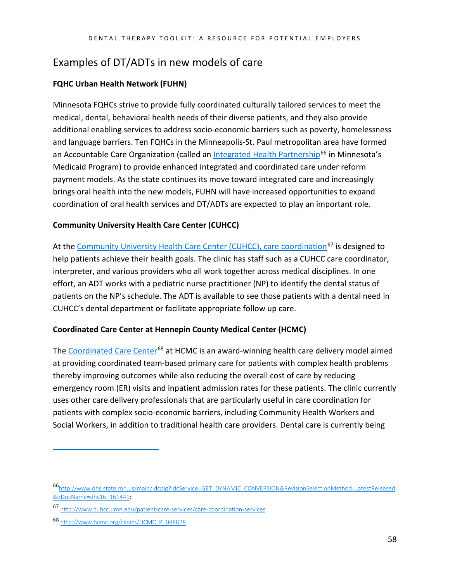### <span id="page-57-0"></span>Examples of DT/ADTs in new models of care

### **FQHC Urban Health Network (FUHN)**

Minnesota FQHCs strive to provide fully coordinated culturally tailored services to meet the medical, dental, behavioral health needs of their diverse patients, and they also provide additional enabling services to address socio-economic barriers such as poverty, homelessness and language barriers. Ten FQHCs in the Minneapolis-St. Paul metropolitan area have formed an Accountable Care Organization (called an *Integrated Health Partnership<sup>[66](#page-57-1)</sup> in Minnesota's* Medicaid Program) to provide enhanced integrated and coordinated care under reform payment models. As the state continues its move toward integrated care and increasingly brings oral health into the new models, FUHN will have increased opportunities to expand coordination of oral health services and DT/ADTs are expected to play an important role.

### **Community University Health Care Center (CUHCC)**

At th[e Community University Health Care Center \(CUHCC\),](http://www.cuhcc.umn.edu/patient-care-services/care-coordination-services) care coordination<sup>[67](#page-57-2)</sup> is designed to help patients achieve their health goals. The clinic has staff such as a CUHCC care coordinator, interpreter, and various providers who all work together across medical disciplines. In one effort, an ADT works with a pediatric nurse practitioner (NP) to identify the dental status of patients on the NP's schedule. The ADT is available to see those patients with a dental need in CUHCC's dental department or facilitate appropriate follow up care.

### **Coordinated Care Center at Hennepin County Medical Center (HCMC)**

The [Coordinated Care Center](http://www.hcmc.org/clinics/HCMC_P_048828)<sup>[68](#page-57-3)</sup> at HCMC is an award-winning health care delivery model aimed at providing coordinated team-based primary care for patients with complex health problems thereby improving outcomes while also reducing the overall cost of care by reducing emergency room (ER) visits and inpatient admission rates for these patients. The clinic currently uses other care delivery professionals that are particularly useful in care coordination for patients with complex socio-economic barriers, including Community Health Workers and Social Workers, in addition to traditional health care providers. Dental care is currently being

<span id="page-57-1"></span><sup>6</sup>[6http://www.dhs.state.mn.us/main/idcplg?IdcService=GET\\_DYNAMIC\\_CONVERSION&RevisionSelectionMethod=LatestReleased](http://www.dhs.state.mn.us/main/idcplg?IdcService=GET_DYNAMIC_CONVERSION&RevisionSelectionMethod=LatestReleased&dDocName=dhs16_161441) [&dDocName=dhs16\\_161441;](http://www.dhs.state.mn.us/main/idcplg?IdcService=GET_DYNAMIC_CONVERSION&RevisionSelectionMethod=LatestReleased&dDocName=dhs16_161441) 

<span id="page-57-2"></span><sup>67</sup> <http://www.cuhcc.umn.edu/patient-care-services/care-coordination-services>

<span id="page-57-3"></span><sup>68</sup> [http://www.hcmc.org/clinics/HCMC\\_P\\_048828](http://www.hcmc.org/clinics/HCMC_P_048828)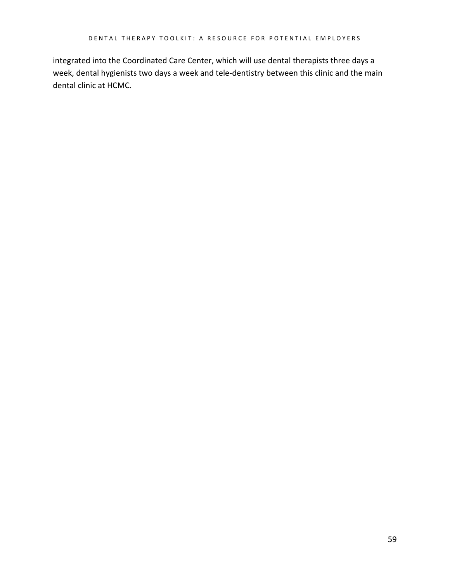integrated into the Coordinated Care Center, which will use dental therapists three days a week, dental hygienists two days a week and tele-dentistry between this clinic and the main dental clinic at HCMC.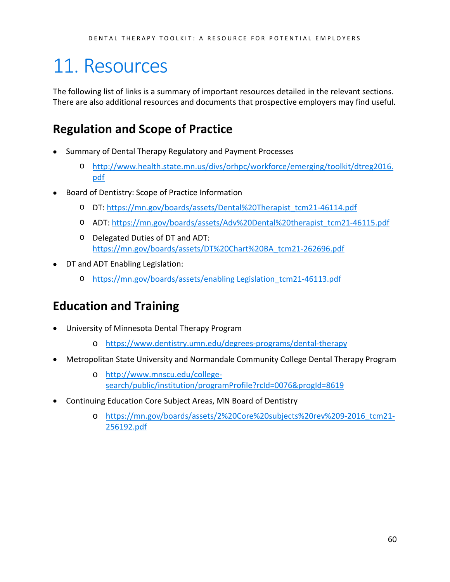# <span id="page-59-0"></span>11. Resources

The following list of links is a summary of important resources detailed in the relevant sections. There are also additional resources and documents that prospective employers may find useful.

## <span id="page-59-1"></span>**Regulation and Scope of Practice**

- Summary of Dental Therapy Regulatory and Payment Processes
	- o [http://www.health.state.mn.us/divs/orhpc/workforce/emerging/toolkit/dtreg2016.](http://www.health.state.mn.us/divs/orhpc/workforce/emerging/toolkit/dtreg2016.pdf) [pdf](http://www.health.state.mn.us/divs/orhpc/workforce/emerging/toolkit/dtreg2016.pdf)
- Board of Dentistry: Scope of Practice Information
	- o DT: [https://mn.gov/boards/assets/Dental%20Therapist\\_tcm21-46114.pdf](https://mn.gov/boards/assets/Dental%20Therapist_tcm21-46114.pdf)
	- o ADT: [https://mn.gov/boards/assets/Adv%20Dental%20therapist\\_tcm21-46115.pdf](https://mn.gov/boards/assets/Adv%20Dental%20therapist_tcm21-46115.pdf)
	- o Delegated Duties of DT and ADT: [https://mn.gov/boards/assets/DT%20Chart%20BA\\_tcm21-262696.pdf](https://mn.gov/boards/assets/DT%20Chart%20BA_tcm21-262696.pdf)
- DT and ADT Enabling Legislation:
	- o [https://mn.gov/boards/assets/enabling Legislation\\_tcm21-46113.pdf](https://mn.gov/boards/assets/enabling%20Legislation_tcm21-46113.pdf)

## <span id="page-59-2"></span>**Education and Training**

- University of Minnesota Dental Therapy Program
	- o <https://www.dentistry.umn.edu/degrees-programs/dental-therapy>
- Metropolitan State University and Normandale Community College Dental Therapy Program
	- o [http://www.mnscu.edu/college](http://www.mnscu.edu/college-search/public/institution/programProfile?rcId=0076&progId=8619)[search/public/institution/programProfile?rcId=0076&progId=8619](http://www.mnscu.edu/college-search/public/institution/programProfile?rcId=0076&progId=8619)
- <span id="page-59-3"></span>• Continuing Education Core Subject Areas, MN Board of Dentistry
	- o [https://mn.gov/boards/assets/2%20Core%20subjects%20rev%209-2016\\_tcm21-](https://mn.gov/boards/assets/2%20Core%20subjects%20rev%209-2016_tcm21-256192.pdf) [256192.pdf](https://mn.gov/boards/assets/2%20Core%20subjects%20rev%209-2016_tcm21-256192.pdf)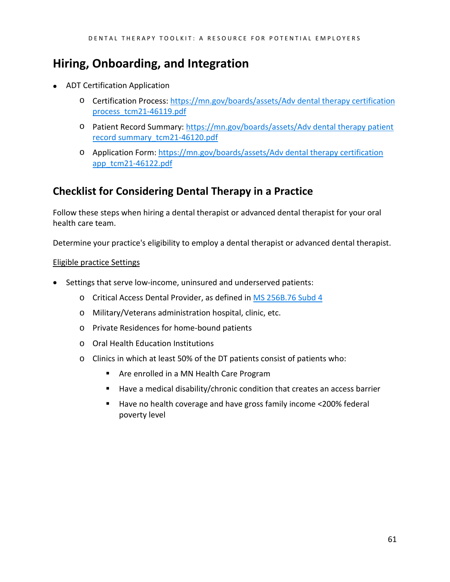## **Hiring, Onboarding, and Integration**

- ADT Certification Application
	- o Certification Process: [https://mn.gov/boards/assets/Adv dental therapy certification](https://mn.gov/boards/assets/Adv%20dental%20therapy%20certification%20process_tcm21-46119.pdf)  [process\\_tcm21-46119.pdf](https://mn.gov/boards/assets/Adv%20dental%20therapy%20certification%20process_tcm21-46119.pdf)
	- o Patient Record Summary: [https://mn.gov/boards/assets/Adv dental therapy patient](https://mn.gov/boards/assets/Adv%20dental%20therapy%20patient%20record%20summary_tcm21-46120.pdf)  [record summary\\_tcm21-46120.pdf](https://mn.gov/boards/assets/Adv%20dental%20therapy%20patient%20record%20summary_tcm21-46120.pdf)
	- o Application Form: [https://mn.gov/boards/assets/Adv dental therapy certification](https://mn.gov/boards/assets/Adv%20dental%20therapy%20certification%20app_tcm21-46122.pdf)  [app\\_tcm21-46122.pdf](https://mn.gov/boards/assets/Adv%20dental%20therapy%20certification%20app_tcm21-46122.pdf)

### **Checklist for Considering Dental Therapy in a Practice**

Follow these steps when hiring a dental therapist or advanced dental therapist for your oral health care team.

Determine your practice's eligibility to employ a dental therapist or advanced dental therapist.

### Eligible practice Settings

- Settings that serve low-income, uninsured and underserved patients:
	- o Critical Access Dental Provider, as defined in [MS 256B.76 Subd 4](https://www.revisor.mn.gov/statutes/?id=256B.76)
	- o Military/Veterans administration hospital, clinic, etc.
	- o Private Residences for home-bound patients
	- o Oral Health Education Institutions
	- o Clinics in which at least 50% of the DT patients consist of patients who:
		- **Are enrolled in a MN Health Care Program**
		- Have a medical disability/chronic condition that creates an access barrier
		- Have no health coverage and have gross family income <200% federal poverty level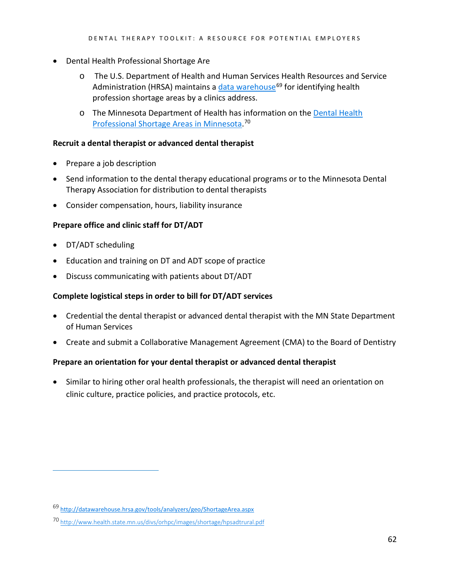- Dental Health Professional Shortage Are
	- o The U.S. Department of Health and Human Services Health Resources and Service Administration (HRSA) maintains a [data warehouse](http://datawarehouse.hrsa.gov/tools/analyzers/geo/ShortageArea.aspx)<sup>[69](#page-61-0)</sup> for identifying health profession shortage areas by a clinics address.
	- o The Minnesota Department of Health has information on the [Dental Health](http://www.health.state.mn.us/divs/orhpc/images/shortage/hpsadtrural.pdf)  [Professional Shortage Areas in Minnesota.](http://www.health.state.mn.us/divs/orhpc/images/shortage/hpsadtrural.pdf) [70](#page-61-1)

### **Recruit a dental therapist or advanced dental therapist**

- Prepare a job description
- Send information to the dental therapy educational programs or to the Minnesota Dental Therapy Association for distribution to dental therapists
- Consider compensation, hours, liability insurance

### **Prepare office and clinic staff for DT/ADT**

• DT/ADT scheduling

 $\overline{a}$ 

- Education and training on DT and ADT scope of practice
- Discuss communicating with patients about DT/ADT

### **Complete logistical steps in order to bill for DT/ADT services**

- Credential the dental therapist or advanced dental therapist with the MN State Department of Human Services
- Create and submit a Collaborative Management Agreement (CMA) to the Board of Dentistry

### **Prepare an orientation for your dental therapist or advanced dental therapist**

• Similar to hiring other oral health professionals, the therapist will need an orientation on clinic culture, practice policies, and practice protocols, etc.

<span id="page-61-0"></span><sup>69</sup> <http://datawarehouse.hrsa.gov/tools/analyzers/geo/ShortageArea.aspx>

<span id="page-61-1"></span><sup>70</sup> <http://www.health.state.mn.us/divs/orhpc/images/shortage/hpsadtrural.pdf>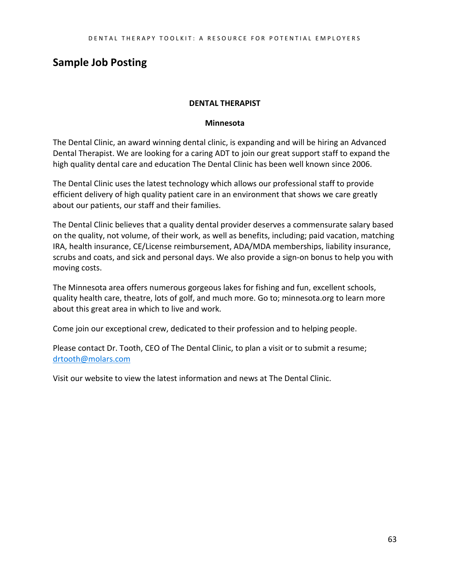### **Sample Job Posting**

### **DENTAL THERAPIST**

#### **Minnesota**

The Dental Clinic, an award winning dental clinic, is expanding and will be hiring an Advanced Dental Therapist. We are looking for a caring ADT to join our great support staff to expand the high quality dental care and education The Dental Clinic has been well known since 2006.

The Dental Clinic uses the latest technology which allows our professional staff to provide efficient delivery of high quality patient care in an environment that shows we care greatly about our patients, our staff and their families.

The Dental Clinic believes that a quality dental provider deserves a commensurate salary based on the quality, not volume, of their work, as well as benefits, including; paid vacation, matching IRA, health insurance, CE/License reimbursement, ADA/MDA memberships, liability insurance, scrubs and coats, and sick and personal days. We also provide a sign-on bonus to help you with moving costs.

The Minnesota area offers numerous gorgeous lakes for fishing and fun, excellent schools, quality health care, theatre, lots of golf, and much more. Go to; minnesota.org to learn more about this great area in which to live and work.

Come join our exceptional crew, dedicated to their profession and to helping people.

Please contact Dr. Tooth, CEO of The Dental Clinic, to plan a visit or to submit a resume; [drtooth@molars.com](mailto:drtooth@molars.com)

Visit our website to view the latest information and news at The Dental Clinic.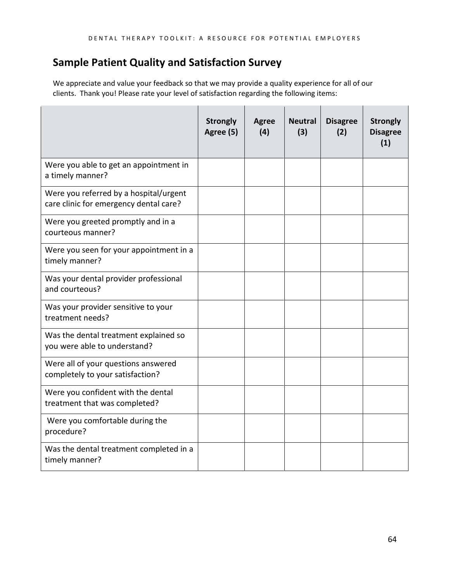### **Sample Patient Quality and Satisfaction Survey**

We appreciate and value your feedback so that we may provide a quality experience for all of our clients. Thank you! Please rate your level of satisfaction regarding the following items:

|                                                                                  | <b>Strongly</b><br>Agree (5) | Agree<br>(4) | <b>Neutral</b><br>(3) | <b>Disagree</b><br>(2) | <b>Strongly</b><br><b>Disagree</b><br>(1) |
|----------------------------------------------------------------------------------|------------------------------|--------------|-----------------------|------------------------|-------------------------------------------|
| Were you able to get an appointment in<br>a timely manner?                       |                              |              |                       |                        |                                           |
| Were you referred by a hospital/urgent<br>care clinic for emergency dental care? |                              |              |                       |                        |                                           |
| Were you greeted promptly and in a<br>courteous manner?                          |                              |              |                       |                        |                                           |
| Were you seen for your appointment in a<br>timely manner?                        |                              |              |                       |                        |                                           |
| Was your dental provider professional<br>and courteous?                          |                              |              |                       |                        |                                           |
| Was your provider sensitive to your<br>treatment needs?                          |                              |              |                       |                        |                                           |
| Was the dental treatment explained so<br>you were able to understand?            |                              |              |                       |                        |                                           |
| Were all of your questions answered<br>completely to your satisfaction?          |                              |              |                       |                        |                                           |
| Were you confident with the dental<br>treatment that was completed?              |                              |              |                       |                        |                                           |
| Were you comfortable during the<br>procedure?                                    |                              |              |                       |                        |                                           |
| Was the dental treatment completed in a<br>timely manner?                        |                              |              |                       |                        |                                           |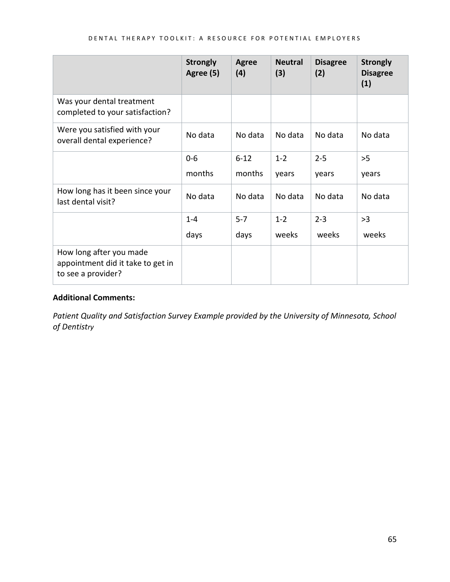|                                                                                    | <b>Strongly</b><br>Agree (5) | <b>Agree</b><br>(4) | <b>Neutral</b><br>(3) | <b>Disagree</b><br>(2) | <b>Strongly</b><br><b>Disagree</b><br>(1) |
|------------------------------------------------------------------------------------|------------------------------|---------------------|-----------------------|------------------------|-------------------------------------------|
| Was your dental treatment<br>completed to your satisfaction?                       |                              |                     |                       |                        |                                           |
| Were you satisfied with your<br>overall dental experience?                         | No data                      | No data             | No data               | No data                | No data                                   |
|                                                                                    | $0-6$                        | $6 - 12$            | $1 - 2$               | $2 - 5$                | >5                                        |
|                                                                                    | months                       | months              | years                 | years                  | years                                     |
| How long has it been since your<br>last dental visit?                              | No data                      | No data             | No data               | No data                | No data                                   |
|                                                                                    | $1 - 4$                      | $5 - 7$             | $1 - 2$               | $2 - 3$                | >3                                        |
|                                                                                    | days                         | days                | weeks                 | weeks                  | weeks                                     |
| How long after you made<br>appointment did it take to get in<br>to see a provider? |                              |                     |                       |                        |                                           |

### **Additional Comments:**

*Patient Quality and Satisfaction Survey Example provided by the University of Minnesota, School of Dentistry*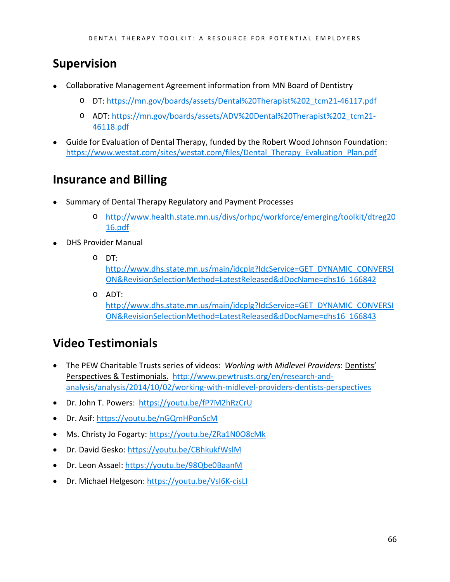## <span id="page-65-0"></span>**Supervision**

- Collaborative Management Agreement information from MN Board of Dentistry
	- o DT: [https://mn.gov/boards/assets/Dental%20Therapist%202\\_tcm21-46117.pdf](https://mn.gov/boards/assets/Dental%20Therapist%202_tcm21-46117.pdf)
	- o ADT: [https://mn.gov/boards/assets/ADV%20Dental%20Therapist%202\\_tcm21-](https://mn.gov/boards/assets/ADV%20Dental%20Therapist%202_tcm21-46118.pdf) [46118.pdf](https://mn.gov/boards/assets/ADV%20Dental%20Therapist%202_tcm21-46118.pdf)
- Guide for Evaluation of Dental Therapy, funded by the Robert Wood Johnson Foundation: [https://www.westat.com/sites/westat.com/files/Dental\\_Therapy\\_Evaluation\\_Plan.pdf](https://www.westat.com/sites/westat.com/files/Dental_Therapy_Evaluation_Plan.pdf)

## <span id="page-65-1"></span>**Insurance and Billing**

- Summary of Dental Therapy Regulatory and Payment Processes
	- o [http://www.health.state.mn.us/divs/orhpc/workforce/emerging/toolkit/dtreg20](http://www.health.state.mn.us/divs/orhpc/workforce/emerging/toolkit/dtreg2016.pdf) [16.pdf](http://www.health.state.mn.us/divs/orhpc/workforce/emerging/toolkit/dtreg2016.pdf)
- DHS Provider Manual
	- o DT:

[http://www.dhs.state.mn.us/main/idcplg?IdcService=GET\\_DYNAMIC\\_CONVERSI](http://www.dhs.state.mn.us/main/idcplg?IdcService=GET_DYNAMIC_CONVERSION&RevisionSelectionMethod=LatestReleased&dDocName=dhs16_166842) [ON&RevisionSelectionMethod=LatestReleased&dDocName=dhs16\\_166842](http://www.dhs.state.mn.us/main/idcplg?IdcService=GET_DYNAMIC_CONVERSION&RevisionSelectionMethod=LatestReleased&dDocName=dhs16_166842)

o ADT: [http://www.dhs.state.mn.us/main/idcplg?IdcService=GET\\_DYNAMIC\\_CONVERSI](http://www.dhs.state.mn.us/main/idcplg?IdcService=GET_DYNAMIC_CONVERSION&RevisionSelectionMethod=LatestReleased&dDocName=dhs16_166843) [ON&RevisionSelectionMethod=LatestReleased&dDocName=dhs16\\_166843](http://www.dhs.state.mn.us/main/idcplg?IdcService=GET_DYNAMIC_CONVERSION&RevisionSelectionMethod=LatestReleased&dDocName=dhs16_166843)

## <span id="page-65-2"></span>**Video Testimonials**

- The PEW Charitable Trusts series of videos: *Working with Midlevel Providers*: Dentists' Perspectives & Testimonials. [http://www.pewtrusts.org/en/research-and](http://www.pewtrusts.org/en/research-and-analysis/analysis/2014/10/02/working-with-midlevel-providers-dentists-perspectives)[analysis/analysis/2014/10/02/working-with-midlevel-providers-dentists-perspectives](http://www.pewtrusts.org/en/research-and-analysis/analysis/2014/10/02/working-with-midlevel-providers-dentists-perspectives)
- Dr. John T. Powers: <https://youtu.be/fP7M2hRzCrU>
- Dr. Asif:<https://youtu.be/nGQmHPonScM>
- Ms. Christy Jo Fogarty:<https://youtu.be/ZRa1N0O8cMk>
- Dr. David Gesko:<https://youtu.be/CBhkukfWslM>
- Dr. Leon Assael:<https://youtu.be/98Qbe0BaanM>
- Dr. Michael Helgeson:<https://youtu.be/VsI6K-cisLI>